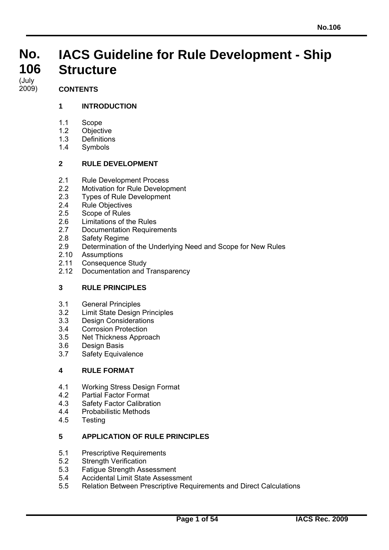#### **No. No. 106 106 IACS Guideline for Rule Development - Ship Structure**

#### (July<br>2009) (July

# **CONTENTS**

# **1 INTRODUCTION**

- 1.1 Scope
- 1.2 Objective
- 1.3 Definitions
- 1.4 Symbols

### **2 RULE DEVELOPMENT**

- 2.1 Rule Development Process
- 2.2 Motivation for Rule Development
- 2.3 Types of Rule Development
- 2.4 Rule Objectives
- 2.5 Scope of Rules
- 2.6 Limitations of the Rules
- 2.7 Documentation Requirements
- 2.8 Safety Regime
- 2.9 Determination of the Underlying Need and Scope for New Rules
- 2.10 Assumptions
- 2.11 Consequence Study
- 2.12 Documentation and Transparency

# **3 RULE PRINCIPLES**

- 3.1 General Principles
- 3.2 Limit State Design Principles
- 3.3 Design Considerations
- 3.4 Corrosion Protection
- 3.5 Net Thickness Approach
- 3.6 Design Basis
- 3.7 Safety Equivalence

#### **4 RULE FORMAT**

- 4.1 Working Stress Design Format
- 4.2 Partial Factor Format
- 4.3 Safety Factor Calibration
- 4.4 Probabilistic Methods
- 4.5 Testing

 $\overline{a}$ 

# **5 APPLICATION OF RULE PRINCIPLES**

- 5.1 Prescriptive Requirements
- 5.2 Strength Verification
- 5.3 Fatigue Strength Assessment
- 5.4 Accidental Limit State Assessment
- 5.5 Relation Between Prescriptive Requirements and Direct Calculations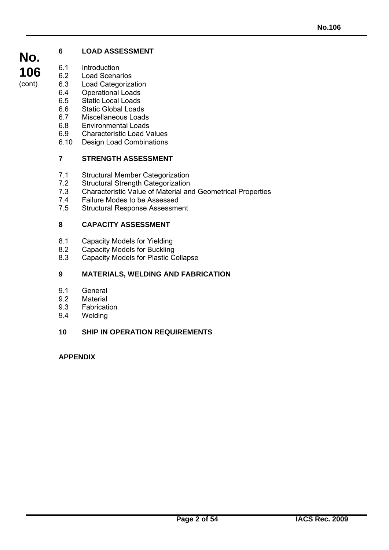# **6 LOAD ASSESSMENT**

- 6.1 Introduction<br>6.2 Load Scena
- **Load Scenarios**
- 6.3 Load Categorization<br>6.4 Operational Loads
- **Operational Loads**
- 6.5 Static Local Loads
- 6.6 Static Global Loads
- 6.7 Miscellaneous Loads<br>6.8 Environmental Loads
- 6.8 Environmental Loads
- 6.9 Characteristic Load Values
- 6.10 Design Load Combinations

# **7 STRENGTH ASSESSMENT**

- 7.1 Structural Member Categorization
- 7.2 Structural Strength Categorization<br>7.3 Characteristic Value of Material an
- 7.3 Characteristic Value of Material and Geometrical Properties
- 7.4 Failure Modes to be Assessed<br>7.5 Structural Response Assessme
- Structural Response Assessment

# **8 CAPACITY ASSESSMENT**

- 8.1 Capacity Models for Yielding
- 8.2 Capacity Models for Buckling<br>8.3 Capacity Models for Plastic C
- 8.3 Capacity Models for Plastic Collapse

# **9 MATERIALS, WELDING AND FABRICATION**

- 9.1 General
- 9.2 Material
- 9.3 Fabrication
- 9.4 Welding

# **10 SHIP IN OPERATION REQUIREMENTS**

# **APPENDIX**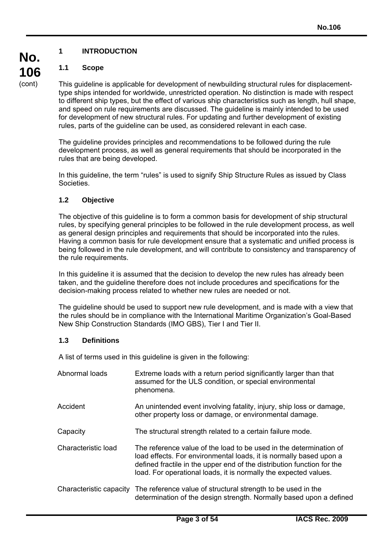# **1 INTRODUCTION**

# **1.1 Scope**

This guideline is applicable for development of newbuilding structural rules for displacementtype ships intended for worldwide, unrestricted operation. No distinction is made with respect to different ship types, but the effect of various ship characteristics such as length, hull shape, and speed on rule requirements are discussed. The guideline is mainly intended to be used for development of new structural rules. For updating and further development of existing rules, parts of the guideline can be used, as considered relevant in each case.

The guideline provides principles and recommendations to be followed during the rule development process, as well as general requirements that should be incorporated in the rules that are being developed.

In this guideline, the term "rules" is used to signify Ship Structure Rules as issued by Class Societies.

# **1.2 Objective**

The objective of this guideline is to form a common basis for development of ship structural rules, by specifying general principles to be followed in the rule development process, as well as general design principles and requirements that should be incorporated into the rules. Having a common basis for rule development ensure that a systematic and unified process is being followed in the rule development, and will contribute to consistency and transparency of the rule requirements.

In this guideline it is assumed that the decision to develop the new rules has already been taken, and the guideline therefore does not include procedures and specifications for the decision-making process related to whether new rules are needed or not.

The guideline should be used to support new rule development, and is made with a view that the rules should be in compliance with the International Maritime Organization's Goal-Based New Ship Construction Standards (IMO GBS), Tier I and Tier II.

# **1.3 Definitions**

 $\overline{a}$ 

A list of terms used in this guideline is given in the following:

| Abnormal loads          | Extreme loads with a return period significantly larger than that<br>assumed for the ULS condition, or special environmental<br>phenomena.                                                                                                                                             |
|-------------------------|----------------------------------------------------------------------------------------------------------------------------------------------------------------------------------------------------------------------------------------------------------------------------------------|
| Accident                | An unintended event involving fatality, injury, ship loss or damage,<br>other property loss or damage, or environmental damage.                                                                                                                                                        |
| Capacity                | The structural strength related to a certain failure mode.                                                                                                                                                                                                                             |
| Characteristic load     | The reference value of the load to be used in the determination of<br>load effects. For environmental loads, it is normally based upon a<br>defined fractile in the upper end of the distribution function for the<br>load. For operational loads, it is normally the expected values. |
| Characteristic capacity | The reference value of structural strength to be used in the<br>determination of the design strength. Normally based upon a defined                                                                                                                                                    |

**No. 106**  (cont)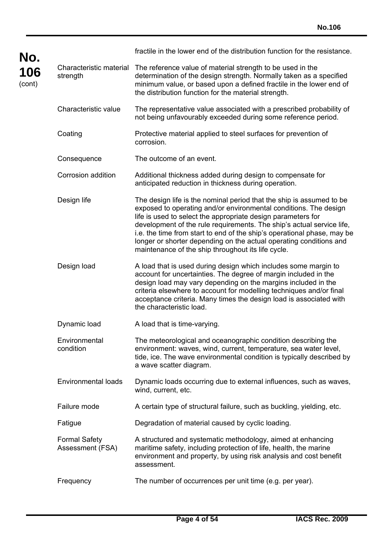| No.           |                                          | fractile in the lower end of the distribution function for the resistance.                                                                                                                                                                                                                                                                                                                                                                                                               |
|---------------|------------------------------------------|------------------------------------------------------------------------------------------------------------------------------------------------------------------------------------------------------------------------------------------------------------------------------------------------------------------------------------------------------------------------------------------------------------------------------------------------------------------------------------------|
| 106<br>(cont) | Characteristic material<br>strength      | The reference value of material strength to be used in the<br>determination of the design strength. Normally taken as a specified<br>minimum value, or based upon a defined fractile in the lower end of<br>the distribution function for the material strength.                                                                                                                                                                                                                         |
|               | Characteristic value                     | The representative value associated with a prescribed probability of<br>not being unfavourably exceeded during some reference period.                                                                                                                                                                                                                                                                                                                                                    |
|               | Coating                                  | Protective material applied to steel surfaces for prevention of<br>corrosion.                                                                                                                                                                                                                                                                                                                                                                                                            |
|               | Consequence                              | The outcome of an event.                                                                                                                                                                                                                                                                                                                                                                                                                                                                 |
|               | Corrosion addition                       | Additional thickness added during design to compensate for<br>anticipated reduction in thickness during operation.                                                                                                                                                                                                                                                                                                                                                                       |
|               | Design life                              | The design life is the nominal period that the ship is assumed to be<br>exposed to operating and/or environmental conditions. The design<br>life is used to select the appropriate design parameters for<br>development of the rule requirements. The ship's actual service life,<br>i.e. the time from start to end of the ship's operational phase, may be<br>longer or shorter depending on the actual operating conditions and<br>maintenance of the ship throughout its life cycle. |
|               | Design load                              | A load that is used during design which includes some margin to<br>account for uncertainties. The degree of margin included in the<br>design load may vary depending on the margins included in the<br>criteria elsewhere to account for modelling techniques and/or final<br>acceptance criteria. Many times the design load is associated with<br>the characteristic load.                                                                                                             |
|               | Dynamic load                             | A load that is time-varying.                                                                                                                                                                                                                                                                                                                                                                                                                                                             |
|               | Environmental<br>condition               | The meteorological and oceanographic condition describing the<br>environment: waves, wind, current, temperature, sea water level,<br>tide, ice. The wave environmental condition is typically described by<br>a wave scatter diagram.                                                                                                                                                                                                                                                    |
|               | <b>Environmental loads</b>               | Dynamic loads occurring due to external influences, such as waves,<br>wind, current, etc.                                                                                                                                                                                                                                                                                                                                                                                                |
|               | Failure mode                             | A certain type of structural failure, such as buckling, yielding, etc.                                                                                                                                                                                                                                                                                                                                                                                                                   |
|               | Fatigue                                  | Degradation of material caused by cyclic loading.                                                                                                                                                                                                                                                                                                                                                                                                                                        |
|               | <b>Formal Safety</b><br>Assessment (FSA) | A structured and systematic methodology, aimed at enhancing<br>maritime safety, including protection of life, health, the marine<br>environment and property, by using risk analysis and cost benefit<br>assessment.                                                                                                                                                                                                                                                                     |
|               | Frequency                                | The number of occurrences per unit time (e.g. per year).                                                                                                                                                                                                                                                                                                                                                                                                                                 |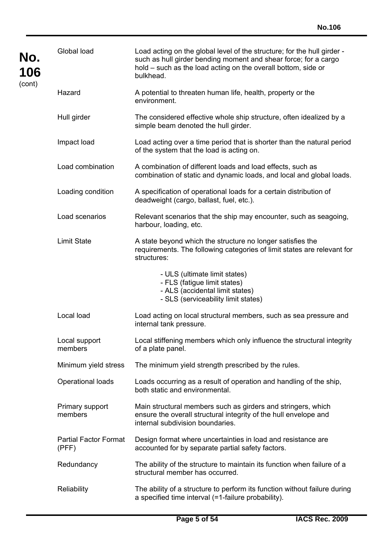| No.<br>106<br>(cont) | Global load                           | Load acting on the global level of the structure; for the hull girder -<br>such as hull girder bending moment and shear force; for a cargo<br>hold – such as the load acting on the overall bottom, side or<br>bulkhead. |
|----------------------|---------------------------------------|--------------------------------------------------------------------------------------------------------------------------------------------------------------------------------------------------------------------------|
|                      | Hazard                                | A potential to threaten human life, health, property or the<br>environment.                                                                                                                                              |
|                      | Hull girder                           | The considered effective whole ship structure, often idealized by a<br>simple beam denoted the hull girder.                                                                                                              |
|                      | Impact load                           | Load acting over a time period that is shorter than the natural period<br>of the system that the load is acting on.                                                                                                      |
|                      | Load combination                      | A combination of different loads and load effects, such as<br>combination of static and dynamic loads, and local and global loads.                                                                                       |
|                      | Loading condition                     | A specification of operational loads for a certain distribution of<br>deadweight (cargo, ballast, fuel, etc.).                                                                                                           |
|                      | Load scenarios                        | Relevant scenarios that the ship may encounter, such as seagoing,<br>harbour, loading, etc.                                                                                                                              |
|                      | <b>Limit State</b>                    | A state beyond which the structure no longer satisfies the<br>requirements. The following categories of limit states are relevant for<br>structures:                                                                     |
|                      |                                       | - ULS (ultimate limit states)<br>- FLS (fatigue limit states)<br>- ALS (accidental limit states)<br>- SLS (serviceability limit states)                                                                                  |
|                      | Local load                            | Load acting on local structural members, such as sea pressure and<br>internal tank pressure.                                                                                                                             |
|                      | Local support<br>members              | Local stiffening members which only influence the structural integrity<br>of a plate panel.                                                                                                                              |
|                      | Minimum yield stress                  | The minimum yield strength prescribed by the rules.                                                                                                                                                                      |
|                      | Operational loads                     | Loads occurring as a result of operation and handling of the ship,<br>both static and environmental.                                                                                                                     |
|                      | Primary support<br>members            | Main structural members such as girders and stringers, which<br>ensure the overall structural integrity of the hull envelope and<br>internal subdivision boundaries.                                                     |
|                      | <b>Partial Factor Format</b><br>(PFF) | Design format where uncertainties in load and resistance are<br>accounted for by separate partial safety factors.                                                                                                        |
|                      | Redundancy                            | The ability of the structure to maintain its function when failure of a<br>structural member has occurred.                                                                                                               |
|                      | Reliability                           | The ability of a structure to perform its function without failure during<br>a specified time interval (=1-failure probability).                                                                                         |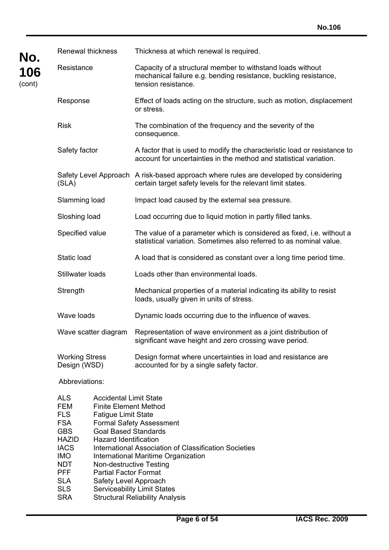| No.            | <b>Renewal thickness</b>                                                                                                                    |                                                                                                                                                                                                                       | Thickness at which renewal is required.                                                                                                               |
|----------------|---------------------------------------------------------------------------------------------------------------------------------------------|-----------------------------------------------------------------------------------------------------------------------------------------------------------------------------------------------------------------------|-------------------------------------------------------------------------------------------------------------------------------------------------------|
| 106<br>(cont)  | Resistance                                                                                                                                  |                                                                                                                                                                                                                       | Capacity of a structural member to withstand loads without<br>mechanical failure e.g. bending resistance, buckling resistance,<br>tension resistance. |
|                | Response                                                                                                                                    |                                                                                                                                                                                                                       | Effect of loads acting on the structure, such as motion, displacement<br>or stress.                                                                   |
|                | <b>Risk</b>                                                                                                                                 |                                                                                                                                                                                                                       | The combination of the frequency and the severity of the<br>consequence.                                                                              |
|                | Safety factor                                                                                                                               |                                                                                                                                                                                                                       | A factor that is used to modify the characteristic load or resistance to<br>account for uncertainties in the method and statistical variation.        |
|                | (SLA)                                                                                                                                       |                                                                                                                                                                                                                       | Safety Level Approach A risk-based approach where rules are developed by considering<br>certain target safety levels for the relevant limit states.   |
|                | Slamming load                                                                                                                               |                                                                                                                                                                                                                       | Impact load caused by the external sea pressure.                                                                                                      |
|                | Sloshing load                                                                                                                               |                                                                                                                                                                                                                       | Load occurring due to liquid motion in partly filled tanks.                                                                                           |
|                | Specified value                                                                                                                             |                                                                                                                                                                                                                       | The value of a parameter which is considered as fixed, i.e. without a<br>statistical variation. Sometimes also referred to as nominal value.          |
|                | Static load<br>Stillwater loads<br>Strength                                                                                                 |                                                                                                                                                                                                                       | A load that is considered as constant over a long time period time.                                                                                   |
|                |                                                                                                                                             |                                                                                                                                                                                                                       | Loads other than environmental loads.                                                                                                                 |
|                |                                                                                                                                             |                                                                                                                                                                                                                       | Mechanical properties of a material indicating its ability to resist<br>loads, usually given in units of stress.                                      |
|                | Wave loads                                                                                                                                  |                                                                                                                                                                                                                       | Dynamic loads occurring due to the influence of waves.                                                                                                |
|                |                                                                                                                                             | Wave scatter diagram                                                                                                                                                                                                  | Representation of wave environment as a joint distribution of<br>significant wave height and zero crossing wave period.                               |
|                | <b>Working Stress</b><br>Design (WSD)                                                                                                       |                                                                                                                                                                                                                       | Design format where uncertainties in load and resistance are<br>accounted for by a single safety factor.                                              |
| Abbreviations: |                                                                                                                                             |                                                                                                                                                                                                                       |                                                                                                                                                       |
|                | <b>ALS</b><br><b>FEM</b><br><b>FLS</b><br><b>FSA</b><br><b>GBS</b><br><b>HAZID</b><br><b>IACS</b><br><b>IMO</b><br><b>NDT</b><br><b>PFF</b> | <b>Accidental Limit State</b><br><b>Finite Element Method</b><br><b>Fatigue Limit State</b><br><b>Goal Based Standards</b><br><b>Hazard Identification</b><br>Non-destructive Testing<br><b>Partial Factor Format</b> | <b>Formal Safety Assessment</b><br>International Association of Classification Societies<br>International Maritime Organization                       |

SLA Safety Level Approach<br>SLS Serviceability Limit Stat

 $\overline{a}$ 

SLS Serviceability Limit States<br>SRA Structural Reliability Analy Structural Reliability Analysis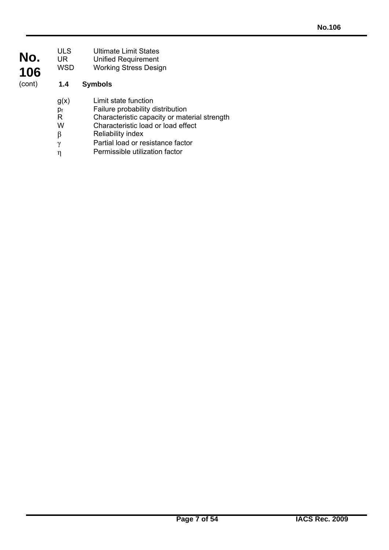| No.<br>106 | ULS<br>UR<br>WSD          | <b>Ultimate Limit States</b><br><b>Unified Requirement</b><br><b>Working Stress Design</b>                                                                                                                      |
|------------|---------------------------|-----------------------------------------------------------------------------------------------------------------------------------------------------------------------------------------------------------------|
| (cont)     | 1.4                       | <b>Symbols</b>                                                                                                                                                                                                  |
|            | g(x)<br>p,<br>R<br>W<br>β | Limit state function<br>Failure probability distribution<br>Characteristic capacity or material strength<br>Characteristic load or load effect<br><b>Reliability index</b><br>Dartial load or recistance factor |

 $γ$  Partial load or resistance factor η Permissible utilization factor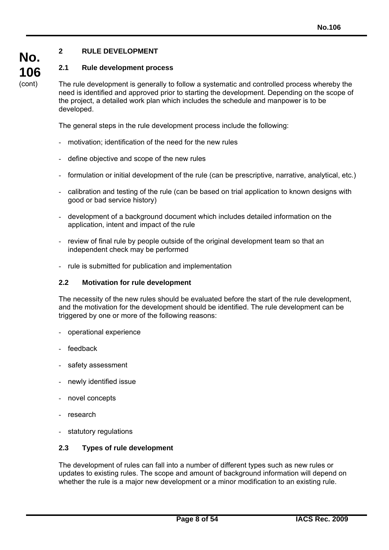# **2 RULE DEVELOPMENT**

**No.** 

**106**  (cont)

### **2.1 Rule development process**

The rule development is generally to follow a systematic and controlled process whereby the need is identified and approved prior to starting the development. Depending on the scope of the project, a detailed work plan which includes the schedule and manpower is to be developed.

The general steps in the rule development process include the following:

- motivation; identification of the need for the new rules
- define objective and scope of the new rules
- formulation or initial development of the rule (can be prescriptive, narrative, analytical, etc.)
- calibration and testing of the rule (can be based on trial application to known designs with good or bad service history)
- development of a background document which includes detailed information on the application, intent and impact of the rule
- review of final rule by people outside of the original development team so that an independent check may be performed
- rule is submitted for publication and implementation

#### **2.2 Motivation for rule development**

The necessity of the new rules should be evaluated before the start of the rule development, and the motivation for the development should be identified. The rule development can be triggered by one or more of the following reasons:

- operational experience
- feedback
- safety assessment
- newly identified issue
- novel concepts
- research

 $\overline{a}$ 

- statutory regulations

#### **2.3 Types of rule development**

The development of rules can fall into a number of different types such as new rules or updates to existing rules. The scope and amount of background information will depend on whether the rule is a major new development or a minor modification to an existing rule.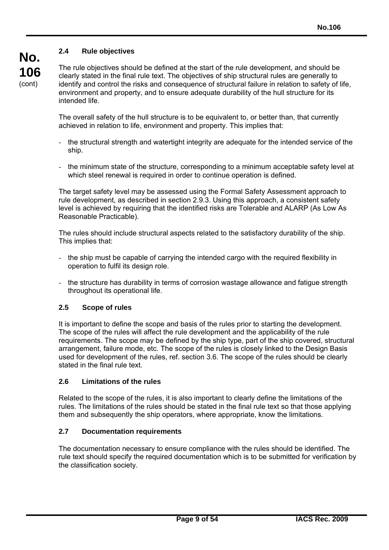# **2.4 Rule objectives**

**106**  (cont)

**No.** 

The rule objectives should be defined at the start of the rule development, and should be clearly stated in the final rule text. The objectives of ship structural rules are generally to identify and control the risks and consequence of structural failure in relation to safety of life, environment and property, and to ensure adequate durability of the hull structure for its intended life.

The overall safety of the hull structure is to be equivalent to, or better than, that currently achieved in relation to life, environment and property. This implies that:

- the structural strength and watertight integrity are adequate for the intended service of the ship.
- the minimum state of the structure, corresponding to a minimum acceptable safety level at which steel renewal is required in order to continue operation is defined.

The target safety level may be assessed using the Formal Safety Assessment approach to rule development, as described in section 2.9.3. Using this approach, a consistent safety level is achieved by requiring that the identified risks are Tolerable and ALARP (As Low As Reasonable Practicable).

The rules should include structural aspects related to the satisfactory durability of the ship. This implies that:

- the ship must be capable of carrying the intended cargo with the required flexibility in operation to fulfil its design role.
- the structure has durability in terms of corrosion wastage allowance and fatigue strength throughout its operational life.

#### **2.5 Scope of rules**

It is important to define the scope and basis of the rules prior to starting the development. The scope of the rules will affect the rule development and the applicability of the rule requirements. The scope may be defined by the ship type, part of the ship covered, structural arrangement, failure mode, etc. The scope of the rules is closely linked to the Design Basis used for development of the rules, ref. section 3.6. The scope of the rules should be clearly stated in the final rule text.

#### **2.6 Limitations of the rules**

 $\overline{a}$ 

Related to the scope of the rules, it is also important to clearly define the limitations of the rules. The limitations of the rules should be stated in the final rule text so that those applying them and subsequently the ship operators, where appropriate, know the limitations.

#### **2.7 Documentation requirements**

The documentation necessary to ensure compliance with the rules should be identified. The rule text should specify the required documentation which is to be submitted for verification by the classification society.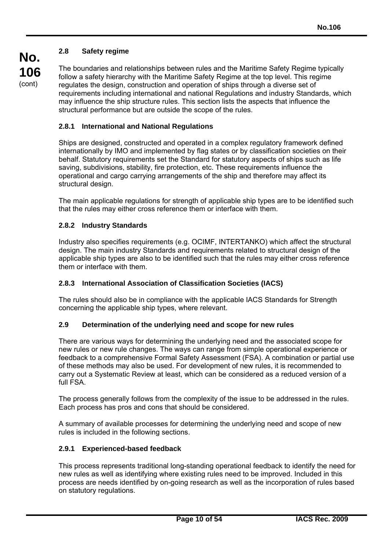### **2.8 Safety regime**

The boundaries and relationships between rules and the Maritime Safety Regime typically follow a safety hierarchy with the Maritime Safety Regime at the top level. This regime regulates the design, construction and operation of ships through a diverse set of requirements including international and national Regulations and industry Standards, which may influence the ship structure rules. This section lists the aspects that influence the structural performance but are outside the scope of the rules.

#### **2.8.1 International and National Regulations**

Ships are designed, constructed and operated in a complex regulatory framework defined internationally by IMO and implemented by flag states or by classification societies on their behalf. Statutory requirements set the Standard for statutory aspects of ships such as life saving, subdivisions, stability, fire protection, etc. These requirements influence the operational and cargo carrying arrangements of the ship and therefore may affect its structural design.

The main applicable regulations for strength of applicable ship types are to be identified such that the rules may either cross reference them or interface with them.

#### **2.8.2 Industry Standards**

Industry also specifies requirements (e.g. OCIMF, INTERTANKO) which affect the structural design. The main industry Standards and requirements related to structural design of the applicable ship types are also to be identified such that the rules may either cross reference them or interface with them.

#### **2.8.3 International Association of Classification Societies (IACS)**

The rules should also be in compliance with the applicable IACS Standards for Strength concerning the applicable ship types, where relevant.

#### **2.9 Determination of the underlying need and scope for new rules**

There are various ways for determining the underlying need and the associated scope for new rules or new rule changes. The ways can range from simple operational experience or feedback to a comprehensive Formal Safety Assessment (FSA). A combination or partial use of these methods may also be used. For development of new rules, it is recommended to carry out a Systematic Review at least, which can be considered as a reduced version of a full FSA.

The process generally follows from the complexity of the issue to be addressed in the rules. Each process has pros and cons that should be considered.

A summary of available processes for determining the underlying need and scope of new rules is included in the following sections.

#### **2.9.1 Experienced-based feedback**

 $\overline{a}$ 

This process represents traditional long-standing operational feedback to identify the need for new rules as well as identifying where existing rules need to be improved. Included in this process are needs identified by on-going research as well as the incorporation of rules based on statutory regulations.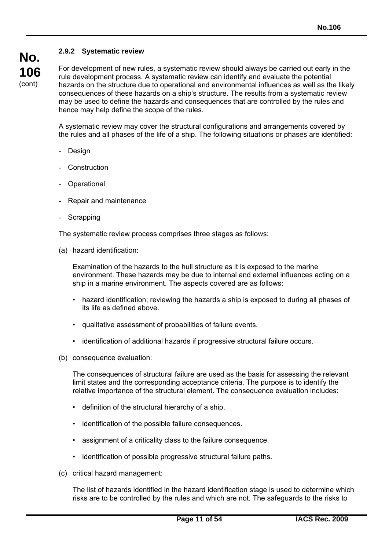# **No. 106**  (cont)

### **2.9.2 Systematic review**

For development of new rules, a systematic review should always be carried out early in the rule development process. A systematic review can identify and evaluate the potential hazards on the structure due to operational and environmental influences as well as the likely consequences of these hazards on a ship's structure. The results from a systematic review may be used to define the hazards and consequences that are controlled by the rules and hence may help define the scope of the rules.

A systematic review may cover the structural configurations and arrangements covered by the rules and all phases of the life of a ship. The following situations or phases are identified:

- Design
- **Construction**
- Operational
- Repair and maintenance
- **Scrapping**

The systematic review process comprises three stages as follows:

(a) hazard identification:

Examination of the hazards to the hull structure as it is exposed to the marine environment. These hazards may be due to internal and external influences acting on a ship in a marine environment. The aspects covered are as follows:

- hazard identification; reviewing the hazards a ship is exposed to during all phases of its life as defined above.
- qualitative assessment of probabilities of failure events.
- identification of additional hazards if progressive structural failure occurs.
- (b) consequence evaluation:

The consequences of structural failure are used as the basis for assessing the relevant limit states and the corresponding acceptance criteria. The purpose is to identify the relative importance of the structural element. The consequence evaluation includes:

- definition of the structural hierarchy of a ship.
- identification of the possible failure consequences.
- assignment of a criticality class to the failure consequence.
- identification of possible progressive structural failure paths.
- (c) critical hazard management:

 $\overline{a}$ 

The list of hazards identified in the hazard identification stage is used to determine which risks are to be controlled by the rules and which are not. The safeguards to the risks to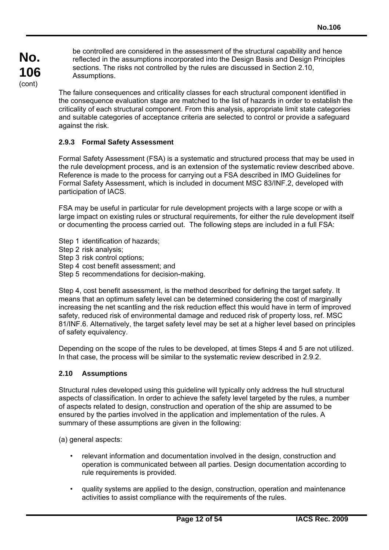be controlled are considered in the assessment of the structural capability and hence reflected in the assumptions incorporated into the Design Basis and Design Principles sections. The risks not controlled by the rules are discussed in Section 2.10, Assumptions.

The failure consequences and criticality classes for each structural component identified in the consequence evaluation stage are matched to the list of hazards in order to establish the criticality of each structural component. From this analysis, appropriate limit state categories and suitable categories of acceptance criteria are selected to control or provide a safeguard against the risk.

# **2.9.3 Formal Safety Assessment**

Formal Safety Assessment (FSA) is a systematic and structured process that may be used in the rule development process, and is an extension of the systematic review described above. Reference is made to the process for carrying out a FSA described in IMO Guidelines for Formal Safety Assessment, which is included in document MSC 83/INF.2, developed with participation of IACS.

FSA may be useful in particular for rule development projects with a large scope or with a large impact on existing rules or structural requirements, for either the rule development itself or documenting the process carried out. The following steps are included in a full FSA:

- Step 1 identification of hazards;
- Step 2 risk analysis;
- Step 3 risk control options;
- Step 4 cost benefit assessment; and
- Step 5 recommendations for decision-making.

Step 4, cost benefit assessment, is the method described for defining the target safety. It means that an optimum safety level can be determined considering the cost of marginally increasing the net scantling and the risk reduction effect this would have in term of improved safety, reduced risk of environmental damage and reduced risk of property loss, ref. MSC 81/INF.6. Alternatively, the target safety level may be set at a higher level based on principles of safety equivalency.

Depending on the scope of the rules to be developed, at times Steps 4 and 5 are not utilized. In that case, the process will be similar to the systematic review described in 2.9.2.

#### **2.10 Assumptions**

Structural rules developed using this guideline will typically only address the hull structural aspects of classification. In order to achieve the safety level targeted by the rules, a number of aspects related to design, construction and operation of the ship are assumed to be ensured by the parties involved in the application and implementation of the rules. A summary of these assumptions are given in the following:

(a) general aspects:

- relevant information and documentation involved in the design, construction and operation is communicated between all parties. Design documentation according to rule requirements is provided.
- quality systems are applied to the design, construction, operation and maintenance activities to assist compliance with the requirements of the rules.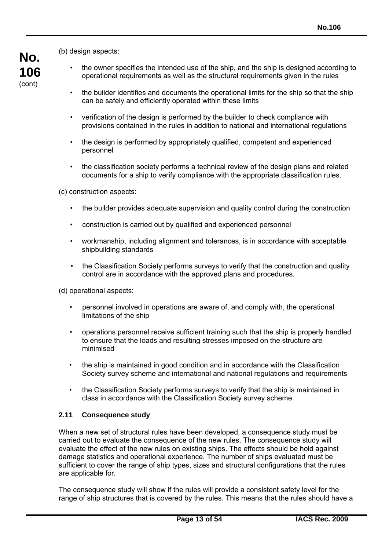**No. 106**  (cont)

(b) design aspects:

- the owner specifies the intended use of the ship, and the ship is designed according to operational requirements as well as the structural requirements given in the rules
	- the builder identifies and documents the operational limits for the ship so that the ship can be safely and efficiently operated within these limits
	- verification of the design is performed by the builder to check compliance with provisions contained in the rules in addition to national and international regulations
	- the design is performed by appropriately qualified, competent and experienced personnel
	- the classification society performs a technical review of the design plans and related documents for a ship to verify compliance with the appropriate classification rules.

(c) construction aspects:

- the builder provides adequate supervision and quality control during the construction
- construction is carried out by qualified and experienced personnel
- workmanship, including alignment and tolerances, is in accordance with acceptable shipbuilding standards
- the Classification Society performs surveys to verify that the construction and quality control are in accordance with the approved plans and procedures.

(d) operational aspects:

- personnel involved in operations are aware of, and comply with, the operational limitations of the ship
- operations personnel receive sufficient training such that the ship is properly handled to ensure that the loads and resulting stresses imposed on the structure are minimised
- the ship is maintained in good condition and in accordance with the Classification Society survey scheme and international and national regulations and requirements
- the Classification Society performs surveys to verify that the ship is maintained in class in accordance with the Classification Society survey scheme.

#### **2.11 Consequence study**

 $\overline{a}$ 

When a new set of structural rules have been developed, a consequence study must be carried out to evaluate the consequence of the new rules. The consequence study will evaluate the effect of the new rules on existing ships. The effects should be hold against damage statistics and operational experience. The number of ships evaluated must be sufficient to cover the range of ship types, sizes and structural configurations that the rules are applicable for.

The consequence study will show if the rules will provide a consistent safety level for the range of ship structures that is covered by the rules. This means that the rules should have a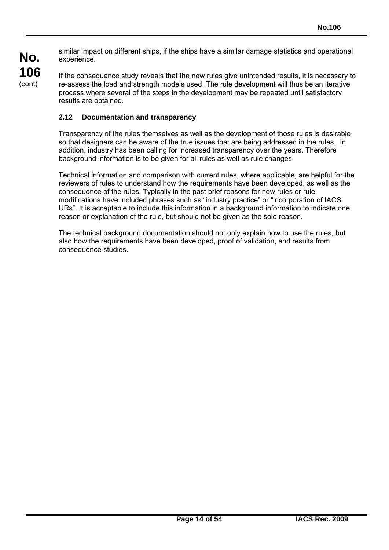**No. 106**  (cont)

 $\overline{a}$ 

similar impact on different ships, if the ships have a similar damage statistics and operational experience.

If the consequence study reveals that the new rules give unintended results, it is necessary to re-assess the load and strength models used. The rule development will thus be an iterative process where several of the steps in the development may be repeated until satisfactory results are obtained.

# **2.12 Documentation and transparency**

Transparency of the rules themselves as well as the development of those rules is desirable so that designers can be aware of the true issues that are being addressed in the rules. In addition, industry has been calling for increased transparency over the years. Therefore background information is to be given for all rules as well as rule changes.

Technical information and comparison with current rules, where applicable, are helpful for the reviewers of rules to understand how the requirements have been developed, as well as the consequence of the rules. Typically in the past brief reasons for new rules or rule modifications have included phrases such as "industry practice" or "incorporation of IACS URs". It is acceptable to include this information in a background information to indicate one reason or explanation of the rule, but should not be given as the sole reason.

The technical background documentation should not only explain how to use the rules, but also how the requirements have been developed, proof of validation, and results from consequence studies.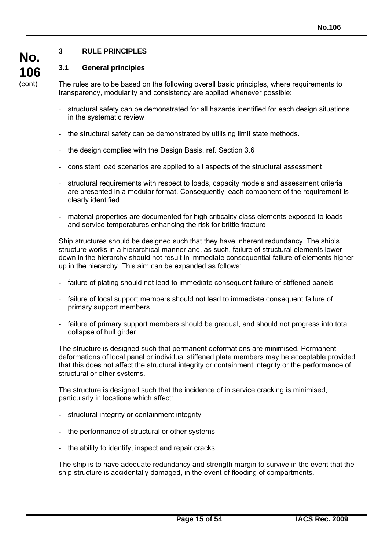# **3 RULE PRINCIPLES**

### **3.1 General principles**

**No.** 

**106**  (cont)

The rules are to be based on the following overall basic principles, where requirements to transparency, modularity and consistency are applied whenever possible:

- structural safety can be demonstrated for all hazards identified for each design situations in the systematic review
- the structural safety can be demonstrated by utilising limit state methods.
- the design complies with the Design Basis, ref. Section 3.6
- consistent load scenarios are applied to all aspects of the structural assessment
- structural requirements with respect to loads, capacity models and assessment criteria are presented in a modular format. Consequently, each component of the requirement is clearly identified.
- material properties are documented for high criticality class elements exposed to loads and service temperatures enhancing the risk for brittle fracture

Ship structures should be designed such that they have inherent redundancy. The ship's structure works in a hierarchical manner and, as such, failure of structural elements lower down in the hierarchy should not result in immediate consequential failure of elements higher up in the hierarchy. This aim can be expanded as follows:

- failure of plating should not lead to immediate consequent failure of stiffened panels
- failure of local support members should not lead to immediate consequent failure of primary support members
- failure of primary support members should be gradual, and should not progress into total collapse of hull girder

The structure is designed such that permanent deformations are minimised. Permanent deformations of local panel or individual stiffened plate members may be acceptable provided that this does not affect the structural integrity or containment integrity or the performance of structural or other systems.

The structure is designed such that the incidence of in service cracking is minimised, particularly in locations which affect:

- structural integrity or containment integrity
- the performance of structural or other systems
- the ability to identify, inspect and repair cracks

 $\overline{a}$ 

The ship is to have adequate redundancy and strength margin to survive in the event that the ship structure is accidentally damaged, in the event of flooding of compartments.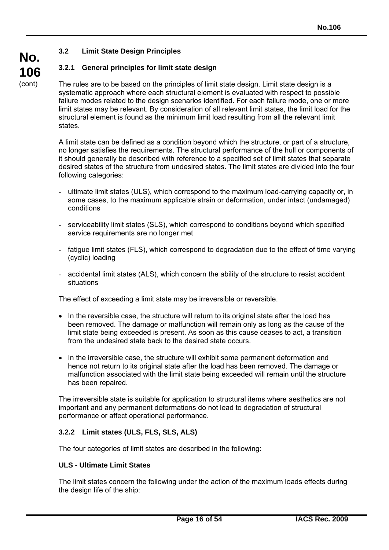# **No. 106**

(cont)

# **3.2 Limit State Design Principles**

# **3.2.1 General principles for limit state design**

The rules are to be based on the principles of limit state design. Limit state design is a systematic approach where each structural element is evaluated with respect to possible failure modes related to the design scenarios identified. For each failure mode, one or more limit states may be relevant. By consideration of all relevant limit states, the limit load for the structural element is found as the minimum limit load resulting from all the relevant limit states.

A limit state can be defined as a condition beyond which the structure, or part of a structure, no longer satisfies the requirements. The structural performance of the hull or components of it should generally be described with reference to a specified set of limit states that separate desired states of the structure from undesired states. The limit states are divided into the four following categories:

- ultimate limit states (ULS), which correspond to the maximum load-carrying capacity or, in some cases, to the maximum applicable strain or deformation, under intact (undamaged) conditions
- serviceability limit states (SLS), which correspond to conditions beyond which specified service requirements are no longer met
- fatigue limit states (FLS), which correspond to degradation due to the effect of time varying (cyclic) loading
- accidental limit states (ALS), which concern the ability of the structure to resist accident situations

The effect of exceeding a limit state may be irreversible or reversible.

- In the reversible case, the structure will return to its original state after the load has been removed. The damage or malfunction will remain only as long as the cause of the limit state being exceeded is present. As soon as this cause ceases to act, a transition from the undesired state back to the desired state occurs.
- In the irreversible case, the structure will exhibit some permanent deformation and hence not return to its original state after the load has been removed. The damage or malfunction associated with the limit state being exceeded will remain until the structure has been repaired.

The irreversible state is suitable for application to structural items where aesthetics are not important and any permanent deformations do not lead to degradation of structural performance or affect operational performance.

# **3.2.2 Limit states (ULS, FLS, SLS, ALS)**

The four categories of limit states are described in the following:

#### **ULS - Ultimate Limit States**

 $\overline{a}$ 

The limit states concern the following under the action of the maximum loads effects during the design life of the ship: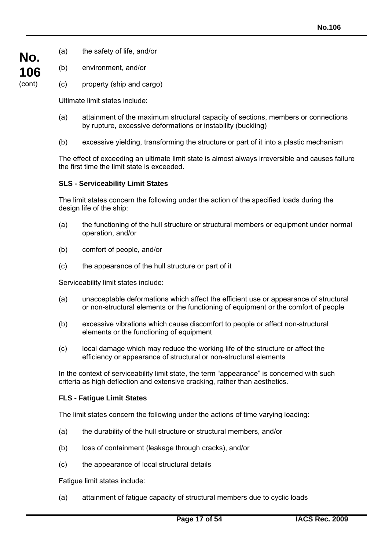- (a) the safety of life, and/or
- (b) environment, and/or

**No.** 

**106**  (cont)

(c) property (ship and cargo)

Ultimate limit states include:

- (a) attainment of the maximum structural capacity of sections, members or connections by rupture, excessive deformations or instability (buckling)
- (b) excessive yielding, transforming the structure or part of it into a plastic mechanism

The effect of exceeding an ultimate limit state is almost always irreversible and causes failure the first time the limit state is exceeded.

# **SLS - Serviceability Limit States**

The limit states concern the following under the action of the specified loads during the design life of the ship:

- (a) the functioning of the hull structure or structural members or equipment under normal operation, and/or
- (b) comfort of people, and/or
- (c) the appearance of the hull structure or part of it

Serviceability limit states include:

- (a) unacceptable deformations which affect the efficient use or appearance of structural or non-structural elements or the functioning of equipment or the comfort of people
- (b) excessive vibrations which cause discomfort to people or affect non-structural elements or the functioning of equipment
- (c) local damage which may reduce the working life of the structure or affect the efficiency or appearance of structural or non-structural elements

In the context of serviceability limit state, the term "appearance" is concerned with such criteria as high deflection and extensive cracking, rather than aesthetics.

#### **FLS - Fatigue Limit States**

The limit states concern the following under the actions of time varying loading:

- (a) the durability of the hull structure or structural members, and/or
- (b) loss of containment (leakage through cracks), and/or
- (c) the appearance of local structural details

Fatigue limit states include:

 $\overline{a}$ 

(a) attainment of fatigue capacity of structural members due to cyclic loads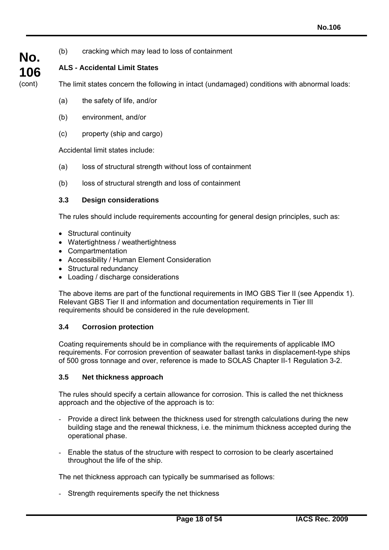- **No. 106**  (cont)
- 

(b) cracking which may lead to loss of containment

**ALS - Accidental Limit States** 

The limit states concern the following in intact (undamaged) conditions with abnormal loads:

- (a) the safety of life, and/or
- (b) environment, and/or
- (c) property (ship and cargo)

Accidental limit states include:

- (a) loss of structural strength without loss of containment
- (b) loss of structural strength and loss of containment

### **3.3 Design considerations**

The rules should include requirements accounting for general design principles, such as:

- Structural continuity
- Watertightness / weathertightness
- Compartmentation
- Accessibility / Human Element Consideration
- Structural redundancy
- Loading / discharge considerations

The above items are part of the functional requirements in IMO GBS Tier II (see Appendix 1). Relevant GBS Tier II and information and documentation requirements in Tier III requirements should be considered in the rule development.

# **3.4 Corrosion protection**

Coating requirements should be in compliance with the requirements of applicable IMO requirements. For corrosion prevention of seawater ballast tanks in displacement-type ships of 500 gross tonnage and over, reference is made to SOLAS Chapter II-1 Regulation 3-2.

#### **3.5 Net thickness approach**

 $\overline{a}$ 

The rules should specify a certain allowance for corrosion. This is called the net thickness approach and the objective of the approach is to:

- Provide a direct link between the thickness used for strength calculations during the new building stage and the renewal thickness, i.e. the minimum thickness accepted during the operational phase.
- Enable the status of the structure with respect to corrosion to be clearly ascertained throughout the life of the ship.

The net thickness approach can typically be summarised as follows:

- Strength requirements specify the net thickness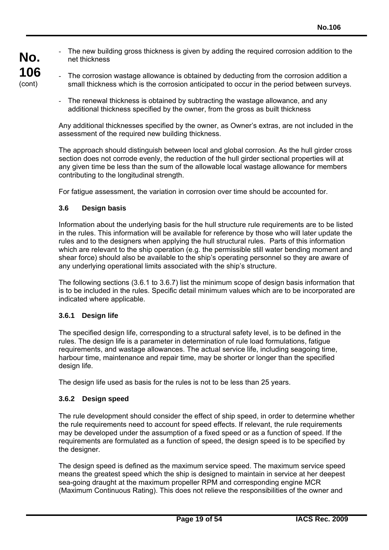The new building gross thickness is given by adding the required corrosion addition to the net thickness

- The corrosion wastage allowance is obtained by deducting from the corrosion addition a small thickness which is the corrosion anticipated to occur in the period between surveys.
	- The renewal thickness is obtained by subtracting the wastage allowance, and any additional thickness specified by the owner, from the gross as built thickness

Any additional thicknesses specified by the owner, as Owner's extras, are not included in the assessment of the required new building thickness.

The approach should distinguish between local and global corrosion. As the hull girder cross section does not corrode evenly, the reduction of the hull girder sectional properties will at any given time be less than the sum of the allowable local wastage allowance for members contributing to the longitudinal strength.

For fatigue assessment, the variation in corrosion over time should be accounted for.

#### **3.6 Design basis**

Information about the underlying basis for the hull structure rule requirements are to be listed in the rules. This information will be available for reference by those who will later update the rules and to the designers when applying the hull structural rules. Parts of this information which are relevant to the ship operation (e.g. the permissible still water bending moment and shear force) should also be available to the ship's operating personnel so they are aware of any underlying operational limits associated with the ship's structure.

The following sections (3.6.1 to 3.6.7) list the minimum scope of design basis information that is to be included in the rules. Specific detail minimum values which are to be incorporated are indicated where applicable.

#### **3.6.1 Design life**

The specified design life, corresponding to a structural safety level, is to be defined in the rules. The design life is a parameter in determination of rule load formulations, fatigue requirements, and wastage allowances. The actual service life, including seagoing time, harbour time, maintenance and repair time, may be shorter or longer than the specified design life.

The design life used as basis for the rules is not to be less than 25 years.

#### **3.6.2 Design speed**

 $\overline{a}$ 

The rule development should consider the effect of ship speed, in order to determine whether the rule requirements need to account for speed effects. If relevant, the rule requirements may be developed under the assumption of a fixed speed or as a function of speed. If the requirements are formulated as a function of speed, the design speed is to be specified by the designer.

The design speed is defined as the maximum service speed. The maximum service speed means the greatest speed which the ship is designed to maintain in service at her deepest sea-going draught at the maximum propeller RPM and corresponding engine MCR (Maximum Continuous Rating). This does not relieve the responsibilities of the owner and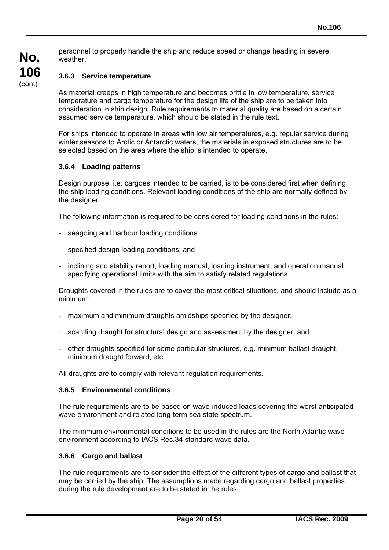personnel to properly handle the ship and reduce speed or change heading in severe weather.

**No.** 

### **3.6.3 Service temperature**

As material creeps in high temperature and becomes brittle in low temperature, service temperature and cargo temperature for the design life of the ship are to be taken into consideration in ship design. Rule requirements to material quality are based on a certain assumed service temperature, which should be stated in the rule text.

For ships intended to operate in areas with low air temperatures, e.g. regular service during winter seasons to Arctic or Antarctic waters, the materials in exposed structures are to be selected based on the area where the ship is intended to operate.

#### **3.6.4 Loading patterns**

Design purpose, i.e. cargoes intended to be carried, is to be considered first when defining the ship loading conditions. Relevant loading conditions of the ship are normally defined by the designer.

The following information is required to be considered for loading conditions in the rules:

- seagoing and harbour loading conditions
- specified design loading conditions; and
- inclining and stability report, loading manual, loading instrument, and operation manual specifying operational limits with the aim to satisfy related regulations.

Draughts covered in the rules are to cover the most critical situations, and should include as a minimum:

- maximum and minimum draughts amidships specified by the designer;
- scantling draught for structural design and assessment by the designer; and
- other draughts specified for some particular structures, e.g. minimum ballast draught, minimum draught forward, etc.

All draughts are to comply with relevant regulation requirements.

#### **3.6.5 Environmental conditions**

The rule requirements are to be based on wave-induced loads covering the worst anticipated wave environment and related long-term sea state spectrum.

The minimum environmental conditions to be used in the rules are the North Atlantic wave environment according to IACS Rec.34 standard wave data.

#### **3.6.6 Cargo and ballast**

 $\overline{a}$ 

The rule requirements are to consider the effect of the different types of cargo and ballast that may be carried by the ship. The assumptions made regarding cargo and ballast properties during the rule development are to be stated in the rules.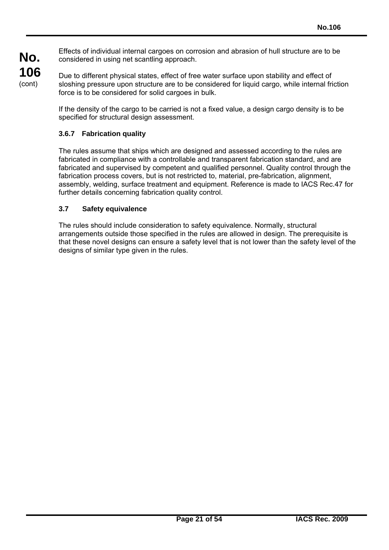Effects of individual internal cargoes on corrosion and abrasion of hull structure are to be considered in using net scantling approach.

Due to different physical states, effect of free water surface upon stability and effect of sloshing pressure upon structure are to be considered for liquid cargo, while internal friction force is to be considered for solid cargoes in bulk.

If the density of the cargo to be carried is not a fixed value, a design cargo density is to be specified for structural design assessment.

# **3.6.7 Fabrication quality**

**No.** 

**106**  (cont)

> The rules assume that ships which are designed and assessed according to the rules are fabricated in compliance with a controllable and transparent fabrication standard, and are fabricated and supervised by competent and qualified personnel. Quality control through the fabrication process covers, but is not restricted to, material, pre-fabrication, alignment, assembly, welding, surface treatment and equipment. Reference is made to IACS Rec.47 for further details concerning fabrication quality control.

# **3.7 Safety equivalence**

 $\overline{a}$ 

The rules should include consideration to safety equivalence. Normally, structural arrangements outside those specified in the rules are allowed in design. The prerequisite is that these novel designs can ensure a safety level that is not lower than the safety level of the designs of similar type given in the rules.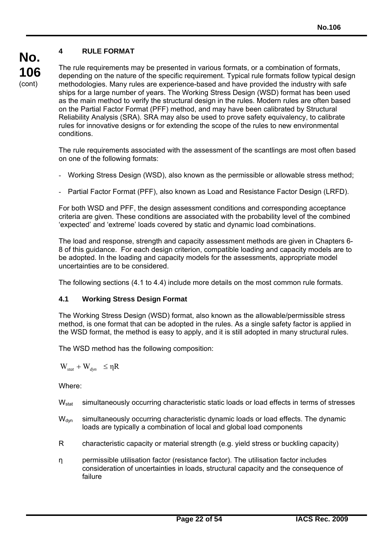# **4 RULE FORMAT**

**No. 106**  (cont)

The rule requirements may be presented in various formats, or a combination of formats, depending on the nature of the specific requirement. Typical rule formats follow typical design methodologies. Many rules are experience-based and have provided the industry with safe ships for a large number of years. The Working Stress Design (WSD) format has been used as the main method to verify the structural design in the rules. Modern rules are often based on the Partial Factor Format (PFF) method, and may have been calibrated by Structural Reliability Analysis (SRA). SRA may also be used to prove safety equivalency, to calibrate rules for innovative designs or for extending the scope of the rules to new environmental conditions.

The rule requirements associated with the assessment of the scantlings are most often based on one of the following formats:

- Working Stress Design (WSD), also known as the permissible or allowable stress method;
- Partial Factor Format (PFF), also known as Load and Resistance Factor Design (LRFD).

For both WSD and PFF, the design assessment conditions and corresponding acceptance criteria are given. These conditions are associated with the probability level of the combined 'expected' and 'extreme' loads covered by static and dynamic load combinations.

The load and response, strength and capacity assessment methods are given in Chapters 6- 8 of this guidance. For each design criterion, compatible loading and capacity models are to be adopted. In the loading and capacity models for the assessments, appropriate model uncertainties are to be considered.

The following sections (4.1 to 4.4) include more details on the most common rule formats.

#### **4.1 Working Stress Design Format**

The Working Stress Design (WSD) format, also known as the allowable/permissible stress method, is one format that can be adopted in the rules. As a single safety factor is applied in the WSD format, the method is easy to apply, and it is still adopted in many structural rules.

The WSD method has the following composition:

 $W_{stat} + W_{dyn} \leq \eta R$ 

Where:

- W<sub>stat</sub> simultaneously occurring characteristic static loads or load effects in terms of stresses
- W<sub>dyn</sub> simultaneously occurring characteristic dynamic loads or load effects. The dynamic loads are typically a combination of local and global load components
- R characteristic capacity or material strength (e.g. yield stress or buckling capacity)
- η permissible utilisation factor (resistance factor). The utilisation factor includes consideration of uncertainties in loads, structural capacity and the consequence of failure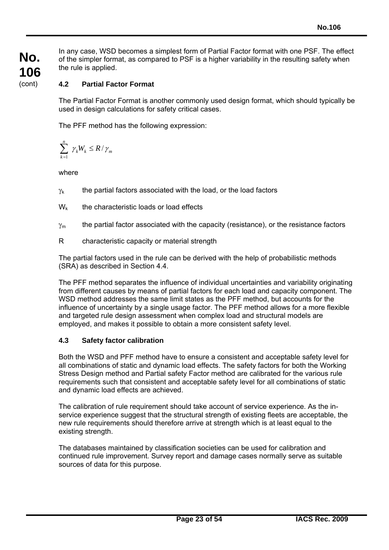In any case, WSD becomes a simplest form of Partial Factor format with one PSF. The effect of the simpler format, as compared to PSF is a higher variability in the resulting safety when the rule is applied.

# **4.2 Partial Factor Format**

The Partial Factor Format is another commonly used design format, which should typically be used in design calculations for safety critical cases.

The PFF method has the following expression:

$$
\sum_{k=1}^n \gamma_k W_k \leq R/\gamma_m
$$

where

 $\overline{a}$ 

- $\gamma_k$  the partial factors associated with the load, or the load factors
- $W_k$  the characteristic loads or load effects
- $\gamma_m$  the partial factor associated with the capacity (resistance), or the resistance factors
- R characteristic capacity or material strength

The partial factors used in the rule can be derived with the help of probabilistic methods (SRA) as described in Section 4.4.

The PFF method separates the influence of individual uncertainties and variability originating from different causes by means of partial factors for each load and capacity component. The WSD method addresses the same limit states as the PFF method, but accounts for the influence of uncertainty by a single usage factor. The PFF method allows for a more flexible and targeted rule design assessment when complex load and structural models are employed, and makes it possible to obtain a more consistent safety level.

# **4.3 Safety factor calibration**

Both the WSD and PFF method have to ensure a consistent and acceptable safety level for all combinations of static and dynamic load effects. The safety factors for both the Working Stress Design method and Partial safety Factor method are calibrated for the various rule requirements such that consistent and acceptable safety level for all combinations of static and dynamic load effects are achieved.

The calibration of rule requirement should take account of service experience. As the inservice experience suggest that the structural strength of existing fleets are acceptable, the new rule requirements should therefore arrive at strength which is at least equal to the existing strength.

The databases maintained by classification societies can be used for calibration and continued rule improvement. Survey report and damage cases normally serve as suitable sources of data for this purpose.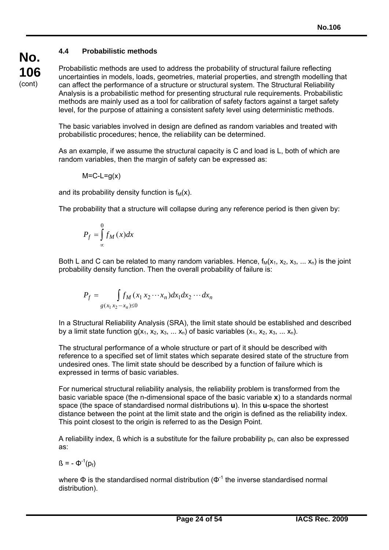# **4.4 Probabilistic methods**

**No. 106**  (cont)

Probabilistic methods are used to address the probability of structural failure reflecting uncertainties in models, loads, geometries, material properties, and strength modelling that can affect the performance of a structure or structural system. The Structural Reliability Analysis is a probabilistic method for presenting structural rule requirements. Probabilistic methods are mainly used as a tool for calibration of safety factors against a target safety level, for the purpose of attaining a consistent safety level using deterministic methods.

The basic variables involved in design are defined as random variables and treated with probabilistic procedures; hence, the reliability can be determined.

As an example, if we assume the structural capacity is C and load is L, both of which are random variables, then the margin of safety can be expressed as:

$$
M=C-L=g(x)
$$

and its probability density function is  $f_M(x)$ .

The probability that a structure will collapse during any reference period is then given by:

$$
P_f = \int_{\infty}^{0} f_M(x) dx
$$

Both L and C can be related to many random variables. Hence,  $f_M(x_1, x_2, x_3, \ldots, x_n)$  is the joint probability density function. Then the overall probability of failure is:

$$
P_f = \int_{g(x_1 x_2 \cdots x_n) \le 0} f_M(x_1 x_2 \cdots x_n) dx_1 dx_2 \cdots dx_n
$$

In a Structural Reliability Analysis (SRA), the limit state should be established and described by a limit state function  $g(x_1, x_2, x_3, \ldots, x_n)$  of basic variables  $(x_1, x_2, x_3, \ldots, x_n)$ .

The structural performance of a whole structure or part of it should be described with reference to a specified set of limit states which separate desired state of the structure from undesired ones. The limit state should be described by a function of failure which is expressed in terms of basic variables.

For numerical structural reliability analysis, the reliability problem is transformed from the basic variable space (the n-dimensional space of the basic variable **x**) to a standards normal space (the space of standardised normal distributions **u**). In this **u**-space the shortest distance between the point at the limit state and the origin is defined as the reliability index. This point closest to the origin is referred to as the Design Point.

A reliability index,  $\beta$  which is a substitute for the failure probability  $p_f$ , can also be expressed as:

 $\beta = -\Phi^{-1}(p_f)$ 

 $\overline{a}$ 

where  $\Phi$  is the standardised normal distribution ( $\Phi^{-1}$  the inverse standardised normal distribution).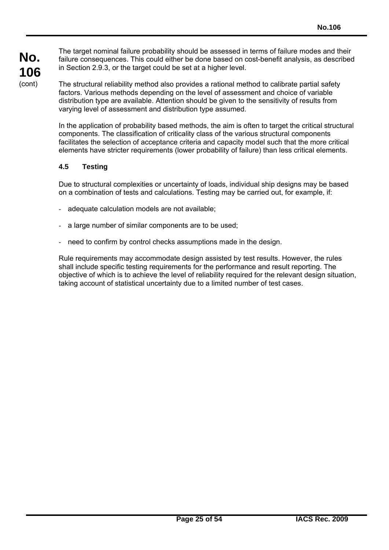The target nominal failure probability should be assessed in terms of failure modes and their failure consequences. This could either be done based on cost-benefit analysis, as described in Section 2.9.3, or the target could be set at a higher level.

The structural reliability method also provides a rational method to calibrate partial safety factors. Various methods depending on the level of assessment and choice of variable distribution type are available. Attention should be given to the sensitivity of results from varying level of assessment and distribution type assumed.

In the application of probability based methods, the aim is often to target the critical structural components. The classification of criticality class of the various structural components facilitates the selection of acceptance criteria and capacity model such that the more critical elements have stricter requirements (lower probability of failure) than less critical elements.

# **4.5 Testing**

 $\overline{a}$ 

Due to structural complexities or uncertainty of loads, individual ship designs may be based on a combination of tests and calculations. Testing may be carried out, for example, if:

- adequate calculation models are not available;
- a large number of similar components are to be used:
- need to confirm by control checks assumptions made in the design.

Rule requirements may accommodate design assisted by test results. However, the rules shall include specific testing requirements for the performance and result reporting. The objective of which is to achieve the level of reliability required for the relevant design situation, taking account of statistical uncertainty due to a limited number of test cases.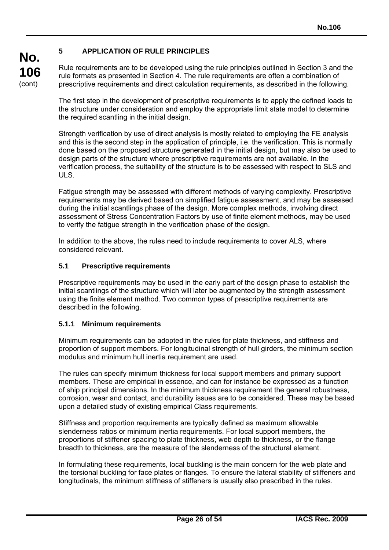# **5 APPLICATION OF RULE PRINCIPLES**

Rule requirements are to be developed using the rule principles outlined in Section 3 and the rule formats as presented in Section 4. The rule requirements are often a combination of prescriptive requirements and direct calculation requirements, as described in the following.

The first step in the development of prescriptive requirements is to apply the defined loads to the structure under consideration and employ the appropriate limit state model to determine the required scantling in the initial design.

Strength verification by use of direct analysis is mostly related to employing the FE analysis and this is the second step in the application of principle, i.e. the verification. This is normally done based on the proposed structure generated in the initial design, but may also be used to design parts of the structure where prescriptive requirements are not available. In the verification process, the suitability of the structure is to be assessed with respect to SLS and ULS.

Fatigue strength may be assessed with different methods of varying complexity. Prescriptive requirements may be derived based on simplified fatigue assessment, and may be assessed during the initial scantlings phase of the design. More complex methods, involving direct assessment of Stress Concentration Factors by use of finite element methods, may be used to verify the fatigue strength in the verification phase of the design.

In addition to the above, the rules need to include requirements to cover ALS, where considered relevant.

### **5.1 Prescriptive requirements**

Prescriptive requirements may be used in the early part of the design phase to establish the initial scantlings of the structure which will later be augmented by the strength assessment using the finite element method. Two common types of prescriptive requirements are described in the following.

#### **5.1.1 Minimum requirements**

 $\overline{a}$ 

Minimum requirements can be adopted in the rules for plate thickness, and stiffness and proportion of support members. For longitudinal strength of hull girders, the minimum section modulus and minimum hull inertia requirement are used.

The rules can specify minimum thickness for local support members and primary support members. These are empirical in essence, and can for instance be expressed as a function of ship principal dimensions. In the minimum thickness requirement the general robustness, corrosion, wear and contact, and durability issues are to be considered. These may be based upon a detailed study of existing empirical Class requirements.

Stiffness and proportion requirements are typically defined as maximum allowable slenderness ratios or minimum inertia requirements. For local support members, the proportions of stiffener spacing to plate thickness, web depth to thickness, or the flange breadth to thickness, are the measure of the slenderness of the structural element.

In formulating these requirements, local buckling is the main concern for the web plate and the torsional buckling for face plates or flanges. To ensure the lateral stability of stiffeners and longitudinals, the minimum stiffness of stiffeners is usually also prescribed in the rules.

**No.**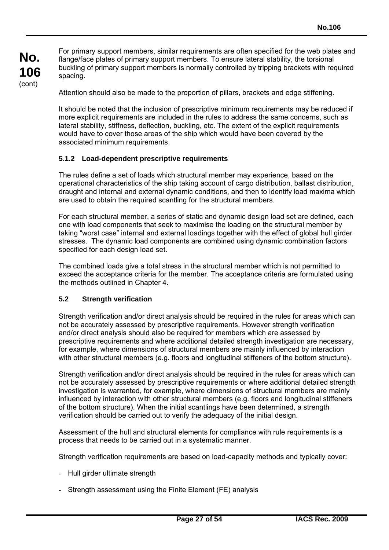For primary support members, similar requirements are often specified for the web plates and flange/face plates of primary support members. To ensure lateral stability, the torsional buckling of primary support members is normally controlled by tripping brackets with required spacing.

Attention should also be made to the proportion of pillars, brackets and edge stiffening.

It should be noted that the inclusion of prescriptive minimum requirements may be reduced if more explicit requirements are included in the rules to address the same concerns, such as lateral stability, stiffness, deflection, buckling, etc. The extent of the explicit requirements would have to cover those areas of the ship which would have been covered by the associated minimum requirements.

### **5.1.2 Load-dependent prescriptive requirements**

The rules define a set of loads which structural member may experience, based on the operational characteristics of the ship taking account of cargo distribution, ballast distribution, draught and internal and external dynamic conditions, and then to identify load maxima which are used to obtain the required scantling for the structural members.

For each structural member, a series of static and dynamic design load set are defined, each one with load components that seek to maximise the loading on the structural member by taking "worst case" internal and external loadings together with the effect of global hull girder stresses. The dynamic load components are combined using dynamic combination factors specified for each design load set.

The combined loads give a total stress in the structural member which is not permitted to exceed the acceptance criteria for the member. The acceptance criteria are formulated using the methods outlined in Chapter 4.

#### **5.2 Strength verification**

Strength verification and/or direct analysis should be required in the rules for areas which can not be accurately assessed by prescriptive requirements. However strength verification and/or direct analysis should also be required for members which are assessed by prescriptive requirements and where additional detailed strength investigation are necessary, for example, where dimensions of structural members are mainly influenced by interaction with other structural members (e.g. floors and longitudinal stiffeners of the bottom structure).

Strength verification and/or direct analysis should be required in the rules for areas which can not be accurately assessed by prescriptive requirements or where additional detailed strength investigation is warranted, for example, where dimensions of structural members are mainly influenced by interaction with other structural members (e.g. floors and longitudinal stiffeners of the bottom structure). When the initial scantlings have been determined, a strength verification should be carried out to verify the adequacy of the initial design.

Assessment of the hull and structural elements for compliance with rule requirements is a process that needs to be carried out in a systematic manner.

Strength verification requirements are based on load-capacity methods and typically cover:

- Hull girder ultimate strength

 $\overline{a}$ 

- Strength assessment using the Finite Element (FE) analysis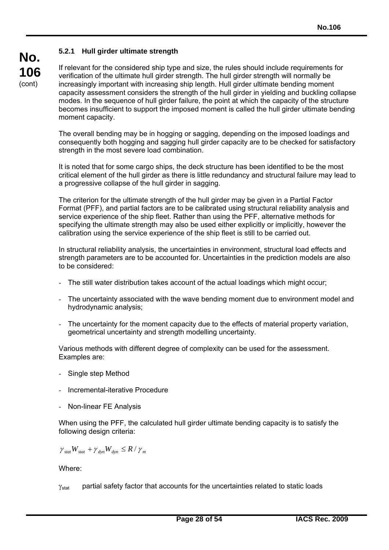# **5.2.1 Hull girder ultimate strength**

If relevant for the considered ship type and size, the rules should include requirements for verification of the ultimate hull girder strength. The hull girder strength will normally be increasingly important with increasing ship length. Hull girder ultimate bending moment capacity assessment considers the strength of the hull girder in yielding and buckling collapse modes. In the sequence of hull girder failure, the point at which the capacity of the structure becomes insufficient to support the imposed moment is called the hull girder ultimate bending moment capacity.

The overall bending may be in hogging or sagging, depending on the imposed loadings and consequently both hogging and sagging hull girder capacity are to be checked for satisfactory strength in the most severe load combination.

It is noted that for some cargo ships, the deck structure has been identified to be the most critical element of the hull girder as there is little redundancy and structural failure may lead to a progressive collapse of the hull girder in sagging.

The criterion for the ultimate strength of the hull girder may be given in a Partial Factor Format (PFF), and partial factors are to be calibrated using structural reliability analysis and service experience of the ship fleet. Rather than using the PFF, alternative methods for specifying the ultimate strength may also be used either explicitly or implicitly, however the calibration using the service experience of the ship fleet is still to be carried out.

In structural reliability analysis, the uncertainties in environment, structural load effects and strength parameters are to be accounted for. Uncertainties in the prediction models are also to be considered:

- The still water distribution takes account of the actual loadings which might occur;
- The uncertainty associated with the wave bending moment due to environment model and hydrodynamic analysis;
- The uncertainty for the moment capacity due to the effects of material property variation, geometrical uncertainty and strength modelling uncertainty.

Various methods with different degree of complexity can be used for the assessment. Examples are:

- Single step Method
- Incremental-iterative Procedure
- Non-linear FE Analysis

When using the PFF, the calculated hull girder ultimate bending capacity is to satisfy the following design criteria:

$$
\gamma_{\text{stat}} W_{\text{stat}} + \gamma_{\text{dyn}} W_{\text{dyn}} \leq R / \gamma_{\text{m}}
$$

Where:

 $\overline{a}$ 

 $\gamma_{\text{stat}}$  partial safety factor that accounts for the uncertainties related to static loads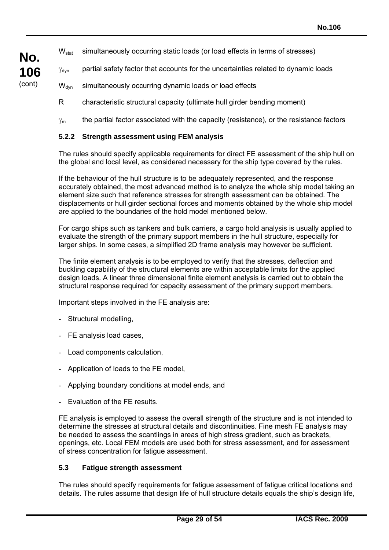- W<sub>stat</sub> simultaneously occurring static loads (or load effects in terms of stresses)
- $\gamma_{\text{dyn}}$  partial safety factor that accounts for the uncertainties related to dynamic loads
- W<sub>dyn</sub> simultaneously occurring dynamic loads or load effects
	- R characteristic structural capacity (ultimate hull girder bending moment)
	- $\gamma_m$  the partial factor associated with the capacity (resistance), or the resistance factors

#### **5.2.2 Strength assessment using FEM analysis**

The rules should specify applicable requirements for direct FE assessment of the ship hull on the global and local level, as considered necessary for the ship type covered by the rules.

If the behaviour of the hull structure is to be adequately represented, and the response accurately obtained, the most advanced method is to analyze the whole ship model taking an element size such that reference stresses for strength assessment can be obtained. The displacements or hull girder sectional forces and moments obtained by the whole ship model are applied to the boundaries of the hold model mentioned below.

For cargo ships such as tankers and bulk carriers, a cargo hold analysis is usually applied to evaluate the strength of the primary support members in the hull structure, especially for larger ships. In some cases, a simplified 2D frame analysis may however be sufficient.

The finite element analysis is to be employed to verify that the stresses, deflection and buckling capability of the structural elements are within acceptable limits for the applied design loads. A linear three dimensional finite element analysis is carried out to obtain the structural response required for capacity assessment of the primary support members.

Important steps involved in the FE analysis are:

- Structural modelling,

**No.** 

**106**  (cont)

- FE analysis load cases,
- Load components calculation,
- Application of loads to the FE model,
- Applying boundary conditions at model ends, and
- Evaluation of the FE results.

FE analysis is employed to assess the overall strength of the structure and is not intended to determine the stresses at structural details and discontinuities. Fine mesh FE analysis may be needed to assess the scantlings in areas of high stress gradient, such as brackets, openings, etc. Local FEM models are used both for stress assessment, and for assessment of stress concentration for fatigue assessment.

#### **5.3 Fatigue strength assessment**

 $\overline{a}$ 

The rules should specify requirements for fatigue assessment of fatigue critical locations and details. The rules assume that design life of hull structure details equals the ship's design life.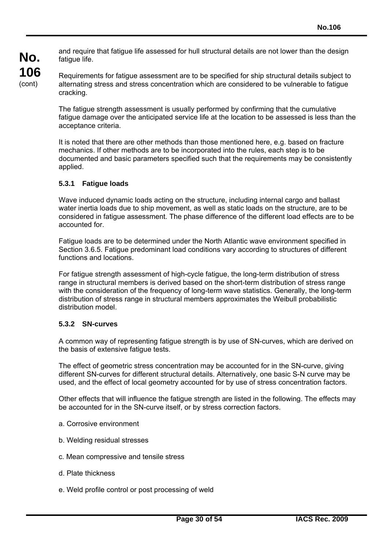and require that fatigue life assessed for hull structural details are not lower than the design fatigue life.

**No. 106**  (cont)

Requirements for fatigue assessment are to be specified for ship structural details subject to alternating stress and stress concentration which are considered to be vulnerable to fatigue cracking.

The fatigue strength assessment is usually performed by confirming that the cumulative fatigue damage over the anticipated service life at the location to be assessed is less than the acceptance criteria.

It is noted that there are other methods than those mentioned here, e.g. based on fracture mechanics. If other methods are to be incorporated into the rules, each step is to be documented and basic parameters specified such that the requirements may be consistently applied.

# **5.3.1 Fatigue loads**

Wave induced dynamic loads acting on the structure, including internal cargo and ballast water inertia loads due to ship movement, as well as static loads on the structure, are to be considered in fatigue assessment. The phase difference of the different load effects are to be accounted for.

Fatigue loads are to be determined under the North Atlantic wave environment specified in Section 3.6.5. Fatigue predominant load conditions vary according to structures of different functions and locations.

For fatigue strength assessment of high-cycle fatigue, the long-term distribution of stress range in structural members is derived based on the short-term distribution of stress range with the consideration of the frequency of long-term wave statistics. Generally, the long-term distribution of stress range in structural members approximates the Weibull probabilistic distribution model.

# **5.3.2 SN-curves**

A common way of representing fatigue strength is by use of SN-curves, which are derived on the basis of extensive fatigue tests.

The effect of geometric stress concentration may be accounted for in the SN-curve, giving different SN-curves for different structural details. Alternatively, one basic S-N curve may be used, and the effect of local geometry accounted for by use of stress concentration factors.

Other effects that will influence the fatigue strength are listed in the following. The effects may be accounted for in the SN-curve itself, or by stress correction factors.

- a. Corrosive environment
- b. Welding residual stresses
- c. Mean compressive and tensile stress
- d. Plate thickness

 $\overline{a}$ 

e. Weld profile control or post processing of weld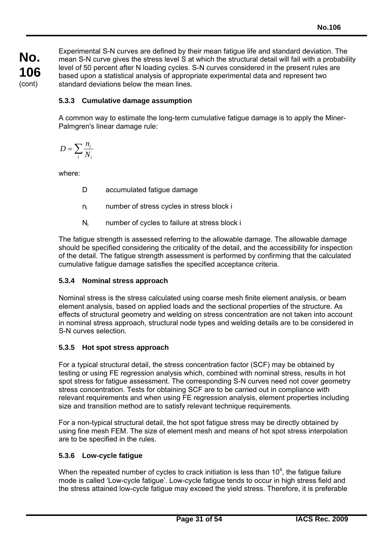**No. 106**  (cont)

Experimental S-N curves are defined by their mean fatigue life and standard deviation. The mean S-N curve gives the stress level S at which the structural detail will fail with a probability level of 50 percent after N loading cycles. S-N curves considered in the present rules are based upon a statistical analysis of appropriate experimental data and represent two standard deviations below the mean lines.

# **5.3.3 Cumulative damage assumption**

A common way to estimate the long-term cumulative fatigue damage is to apply the Miner-Palmgren's linear damage rule:

$$
D = \sum_{i} \frac{n_i}{N_i}
$$

where:

- D accumulated fatigue damage
- ni number of stress cycles in stress block i
- $N_i$  number of cycles to failure at stress block i

The fatigue strength is assessed referring to the allowable damage. The allowable damage should be specified considering the criticality of the detail, and the accessibility for inspection of the detail. The fatigue strength assessment is performed by confirming that the calculated cumulative fatigue damage satisfies the specified acceptance criteria.

# **5.3.4 Nominal stress approach**

Nominal stress is the stress calculated using coarse mesh finite element analysis, or beam element analysis, based on applied loads and the sectional properties of the structure. As effects of structural geometry and welding on stress concentration are not taken into account in nominal stress approach, structural node types and welding details are to be considered in S-N curves selection.

# **5.3.5 Hot spot stress approach**

For a typical structural detail, the stress concentration factor (SCF) may be obtained by testing or using FE regression analysis which, combined with nominal stress, results in hot spot stress for fatigue assessment. The corresponding S-N curves need not cover geometry stress concentration. Tests for obtaining SCF are to be carried out in compliance with relevant requirements and when using FE regression analysis, element properties including size and transition method are to satisfy relevant technique requirements.

For a non-typical structural detail, the hot spot fatigue stress may be directly obtained by using fine mesh FEM. The size of element mesh and means of hot spot stress interpolation are to be specified in the rules.

# **5.3.6 Low-cycle fatigue**

 $\overline{a}$ 

When the repeated number of cycles to crack initiation is less than  $10^4$ , the fatigue failure mode is called 'Low-cycle fatigue'. Low-cycle fatigue tends to occur in high stress field and the stress attained low-cycle fatigue may exceed the yield stress. Therefore, it is preferable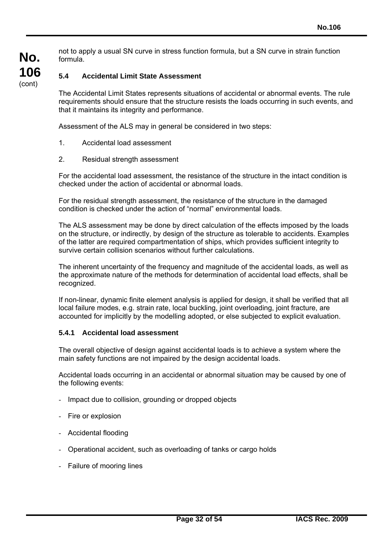not to apply a usual SN curve in stress function formula, but a SN curve in strain function formula.

# **5.4 Accidental Limit State Assessment**

The Accidental Limit States represents situations of accidental or abnormal events. The rule requirements should ensure that the structure resists the loads occurring in such events, and that it maintains its integrity and performance.

Assessment of the ALS may in general be considered in two steps:

- 1. Accidental load assessment
- 2. Residual strength assessment

For the accidental load assessment, the resistance of the structure in the intact condition is checked under the action of accidental or abnormal loads.

For the residual strength assessment, the resistance of the structure in the damaged condition is checked under the action of "normal" environmental loads.

The ALS assessment may be done by direct calculation of the effects imposed by the loads on the structure, or indirectly, by design of the structure as tolerable to accidents. Examples of the latter are required compartmentation of ships, which provides sufficient integrity to survive certain collision scenarios without further calculations.

The inherent uncertainty of the frequency and magnitude of the accidental loads, as well as the approximate nature of the methods for determination of accidental load effects, shall be recognized.

If non-linear, dynamic finite element analysis is applied for design, it shall be verified that all local failure modes, e.g. strain rate, local buckling, joint overloading, joint fracture, are accounted for implicitly by the modelling adopted, or else subjected to explicit evaluation.

### **5.4.1 Accidental load assessment**

The overall objective of design against accidental loads is to achieve a system where the main safety functions are not impaired by the design accidental loads.

Accidental loads occurring in an accidental or abnormal situation may be caused by one of the following events:

- Impact due to collision, grounding or dropped objects
- Fire or explosion

- Accidental flooding
- Operational accident, such as overloading of tanks or cargo holds
- Failure of mooring lines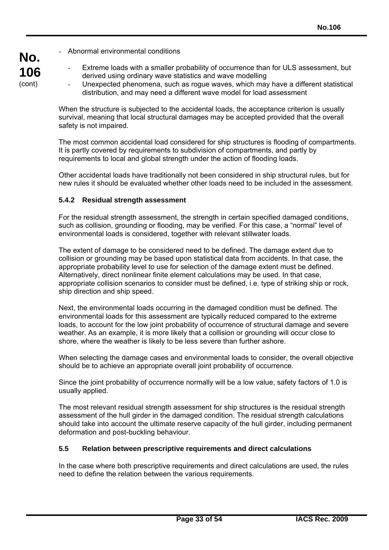- Abnormal environmental conditions

**No.** 

**106**  (cont)

- Extreme loads with a smaller probability of occurrence than for ULS assessment, but derived using ordinary wave statistics and wave modelling
	- Unexpected phenomena, such as rogue waves, which may have a different statistical distribution, and may need a different wave model for load assessment

When the structure is subjected to the accidental loads, the acceptance criterion is usually survival, meaning that local structural damages may be accepted provided that the overall safety is not impaired.

The most common accidental load considered for ship structures is flooding of compartments. It is partly covered by requirements to subdivision of compartments, and partly by requirements to local and global strength under the action of flooding loads.

Other accidental loads have traditionally not been considered in ship structural rules, but for new rules it should be evaluated whether other loads need to be included in the assessment.

### **5.4.2 Residual strength assessment**

 $\overline{a}$ 

For the residual strength assessment, the strength in certain specified damaged conditions, such as collision, grounding or flooding, may be verified. For this case, a "normal" level of environmental loads is considered, together with relevant stillwater loads.

The extent of damage to be considered need to be defined. The damage extent due to collision or grounding may be based upon statistical data from accidents. In that case, the appropriate probability level to use for selection of the damage extent must be defined. Alternatively, direct nonlinear finite element calculations may be used. In that case, appropriate collision scenarios to consider must be defined, i.e. type of striking ship or rock, ship direction and ship speed.

Next, the environmental loads occurring in the damaged condition must be defined. The environmental loads for this assessment are typically reduced compared to the extreme loads, to account for the low joint probability of occurrence of structural damage and severe weather. As an example, it is more likely that a collision or grounding will occur close to shore, where the weather is likely to be less severe than further ashore.

When selecting the damage cases and environmental loads to consider, the overall objective should be to achieve an appropriate overall joint probability of occurrence.

Since the joint probability of occurrence normally will be a low value, safety factors of 1.0 is usually applied.

The most relevant residual strength assessment for ship structures is the residual strength assessment of the hull girder in the damaged condition. The residual strength calculations should take into account the ultimate reserve capacity of the hull girder, including permanent deformation and post-buckling behaviour.

#### **5.5 Relation between prescriptive requirements and direct calculations**

In the case where both prescriptive requirements and direct calculations are used, the rules need to define the relation between the various requirements.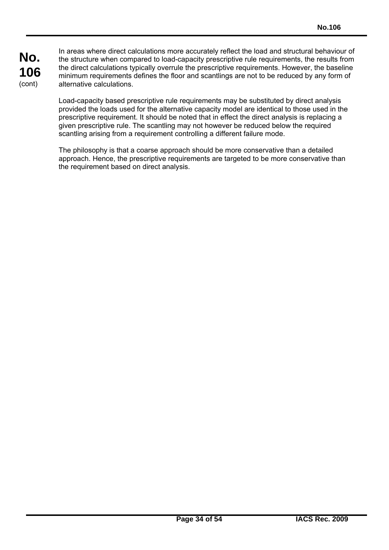In areas where direct calculations more accurately reflect the load and structural behaviour of the structure when compared to load-capacity prescriptive rule requirements, the results from the direct calculations typically overrule the prescriptive requirements. However, the baseline minimum requirements defines the floor and scantlings are not to be reduced by any form of alternative calculations.

Load-capacity based prescriptive rule requirements may be substituted by direct analysis provided the loads used for the alternative capacity model are identical to those used in the prescriptive requirement. It should be noted that in effect the direct analysis is replacing a given prescriptive rule. The scantling may not however be reduced below the required scantling arising from a requirement controlling a different failure mode.

The philosophy is that a coarse approach should be more conservative than a detailed approach. Hence, the prescriptive requirements are targeted to be more conservative than the requirement based on direct analysis.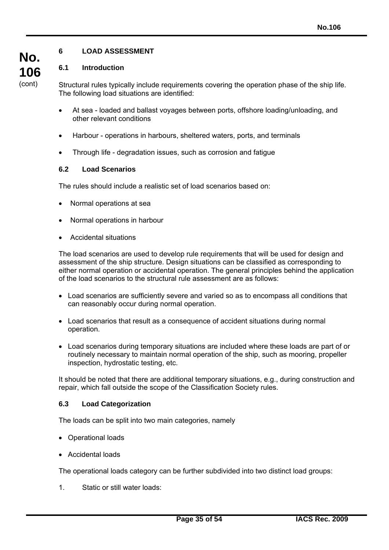# **6 LOAD ASSESSMENT**

### **6.1 Introduction**

**No. 106**  (cont)

Structural rules typically include requirements covering the operation phase of the ship life. The following load situations are identified:

- At sea loaded and ballast voyages between ports, offshore loading/unloading, and other relevant conditions
- Harbour operations in harbours, sheltered waters, ports, and terminals
- Through life degradation issues, such as corrosion and fatigue

#### **6.2 Load Scenarios**

The rules should include a realistic set of load scenarios based on:

- Normal operations at sea
- Normal operations in harbour
- Accidental situations

The load scenarios are used to develop rule requirements that will be used for design and assessment of the ship structure. Design situations can be classified as corresponding to either normal operation or accidental operation. The general principles behind the application of the load scenarios to the structural rule assessment are as follows:

- Load scenarios are sufficiently severe and varied so as to encompass all conditions that can reasonably occur during normal operation.
- Load scenarios that result as a consequence of accident situations during normal operation.
- Load scenarios during temporary situations are included where these loads are part of or routinely necessary to maintain normal operation of the ship, such as mooring, propeller inspection, hydrostatic testing, etc.

It should be noted that there are additional temporary situations, e.g., during construction and repair, which fall outside the scope of the Classification Society rules.

#### **6.3 Load Categorization**

The loads can be split into two main categories, namely

- Operational loads
- Accidental loads

 $\overline{a}$ 

The operational loads category can be further subdivided into two distinct load groups:

1. Static or still water loads: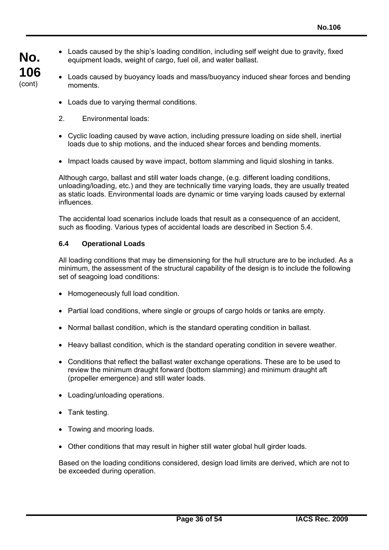- Loads caused by the ship's loading condition, including self weight due to gravity, fixed equipment loads, weight of cargo, fuel oil, and water ballast.
	- Loads caused by buoyancy loads and mass/buoyancy induced shear forces and bending moments.
		- Loads due to varying thermal conditions.
		- 2. Environmental loads:

**No.** 

**106**  (cont)

- Cyclic loading caused by wave action, including pressure loading on side shell, inertial loads due to ship motions, and the induced shear forces and bending moments.
- Impact loads caused by wave impact, bottom slamming and liquid sloshing in tanks.

Although cargo, ballast and still water loads change, (e.g. different loading conditions, unloading/loading, etc.) and they are technically time varying loads, they are usually treated as static loads. Environmental loads are dynamic or time varying loads caused by external influences.

The accidental load scenarios include loads that result as a consequence of an accident, such as flooding. Various types of accidental loads are described in Section 5.4.

#### **6.4 Operational Loads**

All loading conditions that may be dimensioning for the hull structure are to be included. As a minimum, the assessment of the structural capability of the design is to include the following set of seagoing load conditions:

- Homogeneously full load condition.
- Partial load conditions, where single or groups of cargo holds or tanks are empty.
- Normal ballast condition, which is the standard operating condition in ballast.
- Heavy ballast condition, which is the standard operating condition in severe weather.
- Conditions that reflect the ballast water exchange operations. These are to be used to review the minimum draught forward (bottom slamming) and minimum draught aft (propeller emergence) and still water loads.
- Loading/unloading operations.
- Tank testing.

 $\overline{a}$ 

- Towing and mooring loads.
- Other conditions that may result in higher still water global hull girder loads.

Based on the loading conditions considered, design load limits are derived, which are not to be exceeded during operation.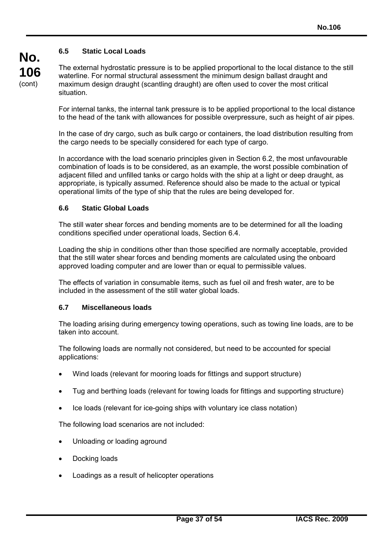# **6.5 Static Local Loads**

**No.** 

**106**  (cont)

The external hydrostatic pressure is to be applied proportional to the local distance to the still waterline. For normal structural assessment the minimum design ballast draught and maximum design draught (scantling draught) are often used to cover the most critical situation.

For internal tanks, the internal tank pressure is to be applied proportional to the local distance to the head of the tank with allowances for possible overpressure, such as height of air pipes.

In the case of dry cargo, such as bulk cargo or containers, the load distribution resulting from the cargo needs to be specially considered for each type of cargo.

In accordance with the load scenario principles given in Section 6.2, the most unfavourable combination of loads is to be considered, as an example, the worst possible combination of adjacent filled and unfilled tanks or cargo holds with the ship at a light or deep draught, as appropriate, is typically assumed. Reference should also be made to the actual or typical operational limits of the type of ship that the rules are being developed for.

#### **6.6 Static Global Loads**

The still water shear forces and bending moments are to be determined for all the loading conditions specified under operational loads, Section 6.4.

Loading the ship in conditions other than those specified are normally acceptable, provided that the still water shear forces and bending moments are calculated using the onboard approved loading computer and are lower than or equal to permissible values.

The effects of variation in consumable items, such as fuel oil and fresh water, are to be included in the assessment of the still water global loads.

#### **6.7 Miscellaneous loads**

The loading arising during emergency towing operations, such as towing line loads, are to be taken into account.

The following loads are normally not considered, but need to be accounted for special applications:

- Wind loads (relevant for mooring loads for fittings and support structure)
- Tug and berthing loads (relevant for towing loads for fittings and supporting structure)
- Ice loads (relevant for ice-going ships with voluntary ice class notation)

The following load scenarios are not included:

- Unloading or loading aground
- Docking loads

 $\overline{a}$ 

Loadings as a result of helicopter operations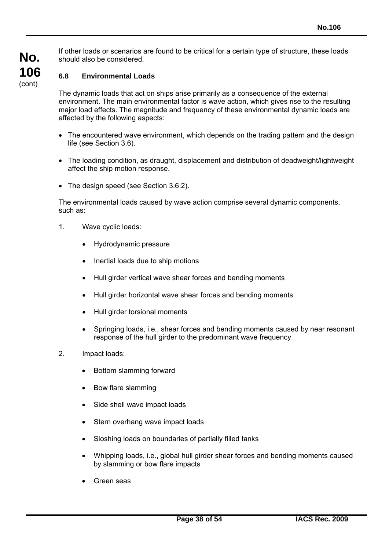If other loads or scenarios are found to be critical for a certain type of structure, these loads should also be considered.

# **No. 106**  (cont)

# **6.8 Environmental Loads**

The dynamic loads that act on ships arise primarily as a consequence of the external environment. The main environmental factor is wave action, which gives rise to the resulting major load effects. The magnitude and frequency of these environmental dynamic loads are affected by the following aspects:

- The encountered wave environment, which depends on the trading pattern and the design life (see Section 3.6).
- The loading condition, as draught, displacement and distribution of deadweight/lightweight affect the ship motion response.
- The design speed (see Section 3.6.2).

The environmental loads caused by wave action comprise several dynamic components, such as:

- 1. Wave cyclic loads:
	- Hydrodynamic pressure
	- Inertial loads due to ship motions
	- Hull girder vertical wave shear forces and bending moments
	- Hull girder horizontal wave shear forces and bending moments
	- Hull girder torsional moments
	- Springing loads, i.e., shear forces and bending moments caused by near resonant response of the hull girder to the predominant wave frequency
- 2. Impact loads:
	- Bottom slamming forward
	- Bow flare slamming
	- Side shell wave impact loads
	- Stern overhang wave impact loads
	- Sloshing loads on boundaries of partially filled tanks
	- Whipping loads, i.e., global hull girder shear forces and bending moments caused by slamming or bow flare impacts
	- Green seas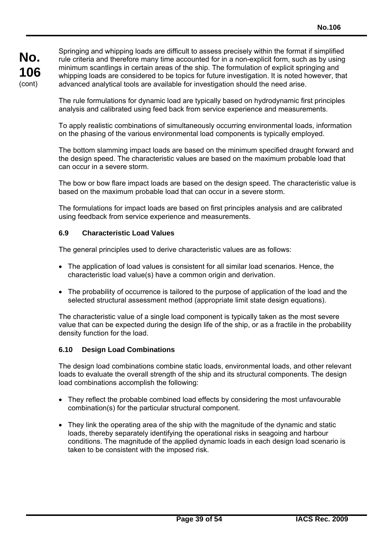Springing and whipping loads are difficult to assess precisely within the format if simplified rule criteria and therefore many time accounted for in a non-explicit form, such as by using minimum scantlings in certain areas of the ship. The formulation of explicit springing and whipping loads are considered to be topics for future investigation. It is noted however, that advanced analytical tools are available for investigation should the need arise.

The rule formulations for dynamic load are typically based on hydrodynamic first principles analysis and calibrated using feed back from service experience and measurements.

To apply realistic combinations of simultaneously occurring environmental loads, information on the phasing of the various environmental load components is typically employed.

The bottom slamming impact loads are based on the minimum specified draught forward and the design speed. The characteristic values are based on the maximum probable load that can occur in a severe storm.

The bow or bow flare impact loads are based on the design speed. The characteristic value is based on the maximum probable load that can occur in a severe storm.

The formulations for impact loads are based on first principles analysis and are calibrated using feedback from service experience and measurements.

#### **6.9 Characteristic Load Values**

The general principles used to derive characteristic values are as follows:

- The application of load values is consistent for all similar load scenarios. Hence, the characteristic load value(s) have a common origin and derivation.
- The probability of occurrence is tailored to the purpose of application of the load and the selected structural assessment method (appropriate limit state design equations).

The characteristic value of a single load component is typically taken as the most severe value that can be expected during the design life of the ship, or as a fractile in the probability density function for the load.

#### **6.10 Design Load Combinations**

 $\overline{a}$ 

The design load combinations combine static loads, environmental loads, and other relevant loads to evaluate the overall strength of the ship and its structural components. The design load combinations accomplish the following:

- They reflect the probable combined load effects by considering the most unfavourable combination(s) for the particular structural component.
- They link the operating area of the ship with the magnitude of the dynamic and static loads, thereby separately identifying the operational risks in seagoing and harbour conditions. The magnitude of the applied dynamic loads in each design load scenario is taken to be consistent with the imposed risk.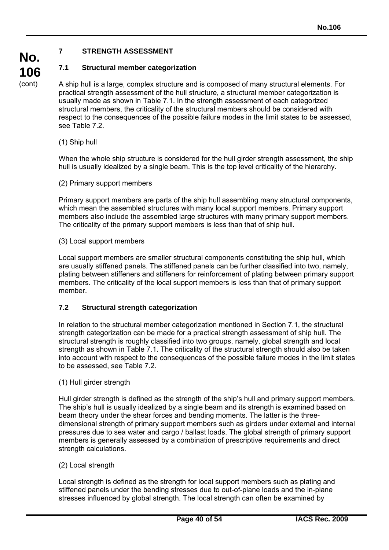# **7 STRENGTH ASSESSMENT**

# **7.1 Structural member categorization**

A ship hull is a large, complex structure and is composed of many structural elements. For practical strength assessment of the hull structure, a structural member categorization is usually made as shown in Table 7.1. In the strength assessment of each categorized structural members, the criticality of the structural members should be considered with respect to the consequences of the possible failure modes in the limit states to be assessed, see Table 7.2.

(1) Ship hull

**No.** 

**106**  (cont)

> When the whole ship structure is considered for the hull girder strength assessment, the ship hull is usually idealized by a single beam. This is the top level criticality of the hierarchy.

### (2) Primary support members

Primary support members are parts of the ship hull assembling many structural components, which mean the assembled structures with many local support members. Primary support members also include the assembled large structures with many primary support members. The criticality of the primary support members is less than that of ship hull.

(3) Local support members

Local support members are smaller structural components constituting the ship hull, which are usually stiffened panels. The stiffened panels can be further classified into two, namely, plating between stiffeners and stiffeners for reinforcement of plating between primary support members. The criticality of the local support members is less than that of primary support member.

# **7.2 Structural strength categorization**

In relation to the structural member categorization mentioned in Section 7.1, the structural strength categorization can be made for a practical strength assessment of ship hull. The structural strength is roughly classified into two groups, namely, global strength and local strength as shown in Table 7.1. The criticality of the structural strength should also be taken into account with respect to the consequences of the possible failure modes in the limit states to be assessed, see Table 7.2.

(1) Hull girder strength

Hull girder strength is defined as the strength of the ship's hull and primary support members. The ship's hull is usually idealized by a single beam and its strength is examined based on beam theory under the shear forces and bending moments. The latter is the threedimensional strength of primary support members such as girders under external and internal pressures due to sea water and cargo / ballast loads. The global strength of primary support members is generally assessed by a combination of prescriptive requirements and direct strength calculations.

# (2) Local strength

 $\overline{a}$ 

Local strength is defined as the strength for local support members such as plating and stiffened panels under the bending stresses due to out-of-plane loads and the in-plane stresses influenced by global strength. The local strength can often be examined by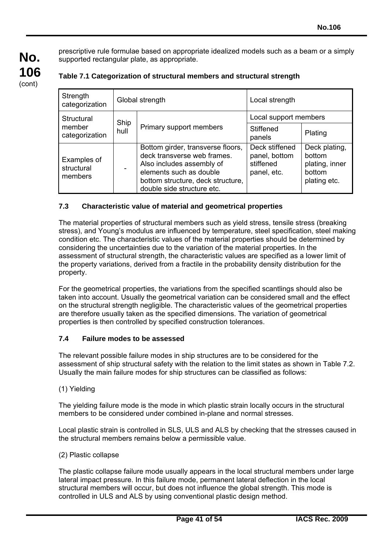prescriptive rule formulae based on appropriate idealized models such as a beam or a simply supported rectangular plate, as appropriate.

| Strength<br>categorization           | Global strength |                                                                                                                                                                                             | Local strength                                              |                                                                     |
|--------------------------------------|-----------------|---------------------------------------------------------------------------------------------------------------------------------------------------------------------------------------------|-------------------------------------------------------------|---------------------------------------------------------------------|
| Structural                           | Ship            |                                                                                                                                                                                             | Local support members                                       |                                                                     |
| member<br>categorization             | hull            | Primary support members                                                                                                                                                                     | Stiffened<br>panels                                         | Plating                                                             |
| Examples of<br>structural<br>members |                 | Bottom girder, transverse floors,<br>deck transverse web frames.<br>Also includes assembly of<br>elements such as double<br>bottom structure, deck structure,<br>double side structure etc. | Deck stiffened<br>panel, bottom<br>stiffened<br>panel, etc. | Deck plating,<br>bottom<br>plating, inner<br>bottom<br>plating etc. |

# **Table 7.1 Categorization of structural members and structural strength**

# **7.3 Characteristic value of material and geometrical properties**

The material properties of structural members such as yield stress, tensile stress (breaking stress), and Young's modulus are influenced by temperature, steel specification, steel making condition etc. The characteristic values of the material properties should be determined by considering the uncertainties due to the variation of the material properties. In the assessment of structural strength, the characteristic values are specified as a lower limit of the property variations, derived from a fractile in the probability density distribution for the property.

For the geometrical properties, the variations from the specified scantlings should also be taken into account. Usually the geometrical variation can be considered small and the effect on the structural strength negligible. The characteristic values of the geometrical properties are therefore usually taken as the specified dimensions. The variation of geometrical properties is then controlled by specified construction tolerances.

#### **7.4 Failure modes to be assessed**

The relevant possible failure modes in ship structures are to be considered for the assessment of ship structural safety with the relation to the limit states as shown in Table 7.2. Usually the main failure modes for ship structures can be classified as follows:

(1) Yielding

**No.** 

**106**  (cont)

> The yielding failure mode is the mode in which plastic strain locally occurs in the structural members to be considered under combined in-plane and normal stresses.

Local plastic strain is controlled in SLS, ULS and ALS by checking that the stresses caused in the structural members remains below a permissible value.

(2) Plastic collapse

 $\overline{a}$ 

The plastic collapse failure mode usually appears in the local structural members under large lateral impact pressure. In this failure mode, permanent lateral deflection in the local structural members will occur, but does not influence the global strength. This mode is controlled in ULS and ALS by using conventional plastic design method.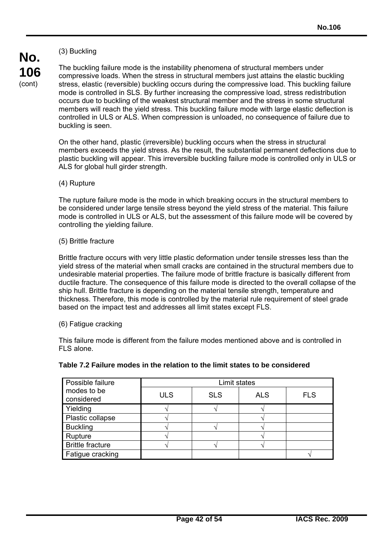# (3) Buckling

**No. 106**  (cont)

The buckling failure mode is the instability phenomena of structural members under compressive loads. When the stress in structural members just attains the elastic buckling stress, elastic (reversible) buckling occurs during the compressive load. This buckling failure mode is controlled in SLS. By further increasing the compressive load, stress redistribution occurs due to buckling of the weakest structural member and the stress in some structural members will reach the yield stress. This buckling failure mode with large elastic deflection is controlled in ULS or ALS. When compression is unloaded, no consequence of failure due to buckling is seen.

On the other hand, plastic (irreversible) buckling occurs when the stress in structural members exceeds the yield stress. As the result, the substantial permanent deflections due to plastic buckling will appear. This irreversible buckling failure mode is controlled only in ULS or ALS for global hull girder strength.

#### (4) Rupture

The rupture failure mode is the mode in which breaking occurs in the structural members to be considered under large tensile stress beyond the yield stress of the material. This failure mode is controlled in ULS or ALS, but the assessment of this failure mode will be covered by controlling the yielding failure.

#### (5) Brittle fracture

Brittle fracture occurs with very little plastic deformation under tensile stresses less than the yield stress of the material when small cracks are contained in the structural members due to undesirable material properties. The failure mode of brittle fracture is basically different from ductile fracture. The consequence of this failure mode is directed to the overall collapse of the ship hull. Brittle fracture is depending on the material tensile strength, temperature and thickness. Therefore, this mode is controlled by the material rule requirement of steel grade based on the impact test and addresses all limit states except FLS.

#### (6) Fatigue cracking

 $\overline{a}$ 

This failure mode is different from the failure modes mentioned above and is controlled in FLS alone.

|  |  | Table 7.2 Failure modes in the relation to the limit states to be considered |  |
|--|--|------------------------------------------------------------------------------|--|
|  |  |                                                                              |  |

| Possible failure          | Limit states |            |            |            |
|---------------------------|--------------|------------|------------|------------|
| modes to be<br>considered | <b>ULS</b>   | <b>SLS</b> | <b>ALS</b> | <b>FLS</b> |
| Yielding                  |              |            |            |            |
| Plastic collapse          |              |            |            |            |
| <b>Buckling</b>           |              |            |            |            |
| Rupture                   |              |            |            |            |
| <b>Brittle fracture</b>   |              |            |            |            |
| Fatigue cracking          |              |            |            |            |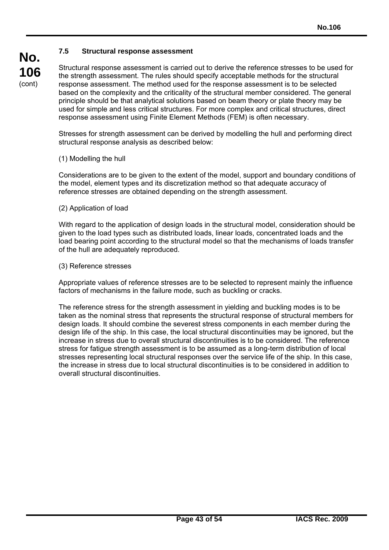#### **7.5 Structural response assessment**

Structural response assessment is carried out to derive the reference stresses to be used for the strength assessment. The rules should specify acceptable methods for the structural response assessment. The method used for the response assessment is to be selected based on the complexity and the criticality of the structural member considered. The general principle should be that analytical solutions based on beam theory or plate theory may be used for simple and less critical structures. For more complex and critical structures, direct response assessment using Finite Element Methods (FEM) is often necessary.

Stresses for strength assessment can be derived by modelling the hull and performing direct structural response analysis as described below:

(1) Modelling the hull

Considerations are to be given to the extent of the model, support and boundary conditions of the model, element types and its discretization method so that adequate accuracy of reference stresses are obtained depending on the strength assessment.

(2) Application of load

With regard to the application of design loads in the structural model, consideration should be given to the load types such as distributed loads, linear loads, concentrated loads and the load bearing point according to the structural model so that the mechanisms of loads transfer of the hull are adequately reproduced.

#### (3) Reference stresses

 $\overline{a}$ 

Appropriate values of reference stresses are to be selected to represent mainly the influence factors of mechanisms in the failure mode, such as buckling or cracks.

The reference stress for the strength assessment in yielding and buckling modes is to be taken as the nominal stress that represents the structural response of structural members for design loads. It should combine the severest stress components in each member during the design life of the ship. In this case, the local structural discontinuities may be ignored, but the increase in stress due to overall structural discontinuities is to be considered. The reference stress for fatigue strength assessment is to be assumed as a long-term distribution of local stresses representing local structural responses over the service life of the ship. In this case, the increase in stress due to local structural discontinuities is to be considered in addition to overall structural discontinuities.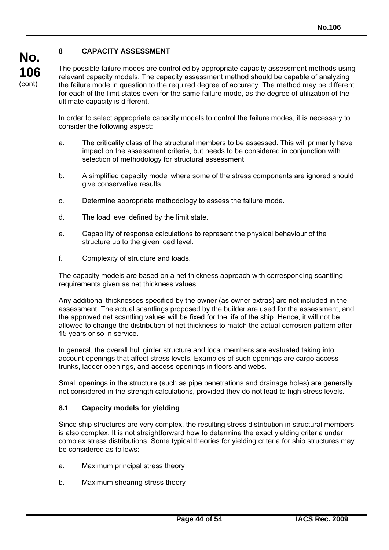# **8 CAPACITY ASSESSMENT**

**No. 106**  (cont)

The possible failure modes are controlled by appropriate capacity assessment methods using relevant capacity models. The capacity assessment method should be capable of analyzing the failure mode in question to the required degree of accuracy. The method may be different for each of the limit states even for the same failure mode, as the degree of utilization of the ultimate capacity is different.

In order to select appropriate capacity models to control the failure modes, it is necessary to consider the following aspect:

- a. The criticality class of the structural members to be assessed. This will primarily have impact on the assessment criteria, but needs to be considered in conjunction with selection of methodology for structural assessment.
- b. A simplified capacity model where some of the stress components are ignored should give conservative results.
- c. Determine appropriate methodology to assess the failure mode.
- d. The load level defined by the limit state.
- e. Capability of response calculations to represent the physical behaviour of the structure up to the given load level.
- f. Complexity of structure and loads.

The capacity models are based on a net thickness approach with corresponding scantling requirements given as net thickness values.

Any additional thicknesses specified by the owner (as owner extras) are not included in the assessment. The actual scantlings proposed by the builder are used for the assessment, and the approved net scantling values will be fixed for the life of the ship. Hence, it will not be allowed to change the distribution of net thickness to match the actual corrosion pattern after 15 years or so in service.

In general, the overall hull girder structure and local members are evaluated taking into account openings that affect stress levels. Examples of such openings are cargo access trunks, ladder openings, and access openings in floors and webs.

Small openings in the structure (such as pipe penetrations and drainage holes) are generally not considered in the strength calculations, provided they do not lead to high stress levels.

# **8.1 Capacity models for yielding**

Since ship structures are very complex, the resulting stress distribution in structural members is also complex. It is not straightforward how to determine the exact yielding criteria under complex stress distributions. Some typical theories for yielding criteria for ship structures may be considered as follows:

- a. Maximum principal stress theory
- b. Maximum shearing stress theory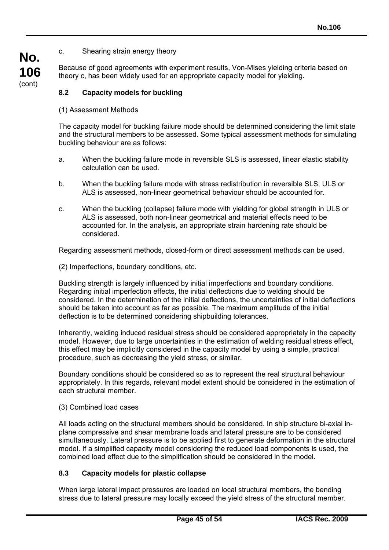#### c. Shearing strain energy theory

Because of good agreements with experiment results, Von-Mises yielding criteria based on theory c, has been widely used for an appropriate capacity model for yielding.

### **8.2 Capacity models for buckling**

(1) Assessment Methods

**No.** 

**106**  (cont)

> The capacity model for buckling failure mode should be determined considering the limit state and the structural members to be assessed. Some typical assessment methods for simulating buckling behaviour are as follows:

- a. When the buckling failure mode in reversible SLS is assessed, linear elastic stability calculation can be used.
- b. When the buckling failure mode with stress redistribution in reversible SLS, ULS or ALS is assessed, non-linear geometrical behaviour should be accounted for.
- c. When the buckling (collapse) failure mode with yielding for global strength in ULS or ALS is assessed, both non-linear geometrical and material effects need to be accounted for. In the analysis, an appropriate strain hardening rate should be considered.

Regarding assessment methods, closed-form or direct assessment methods can be used.

(2) Imperfections, boundary conditions, etc.

Buckling strength is largely influenced by initial imperfections and boundary conditions. Regarding initial imperfection effects, the initial deflections due to welding should be considered. In the determination of the initial deflections, the uncertainties of initial deflections should be taken into account as far as possible. The maximum amplitude of the initial deflection is to be determined considering shipbuilding tolerances.

Inherently, welding induced residual stress should be considered appropriately in the capacity model. However, due to large uncertainties in the estimation of welding residual stress effect, this effect may be implicitly considered in the capacity model by using a simple, practical procedure, such as decreasing the yield stress, or similar.

Boundary conditions should be considered so as to represent the real structural behaviour appropriately. In this regards, relevant model extent should be considered in the estimation of each structural member.

#### (3) Combined load cases

 $\overline{a}$ 

All loads acting on the structural members should be considered. In ship structure bi-axial inplane compressive and shear membrane loads and lateral pressure are to be considered simultaneously. Lateral pressure is to be applied first to generate deformation in the structural model. If a simplified capacity model considering the reduced load components is used, the combined load effect due to the simplification should be considered in the model.

#### **8.3 Capacity models for plastic collapse**

When large lateral impact pressures are loaded on local structural members, the bending stress due to lateral pressure may locally exceed the yield stress of the structural member.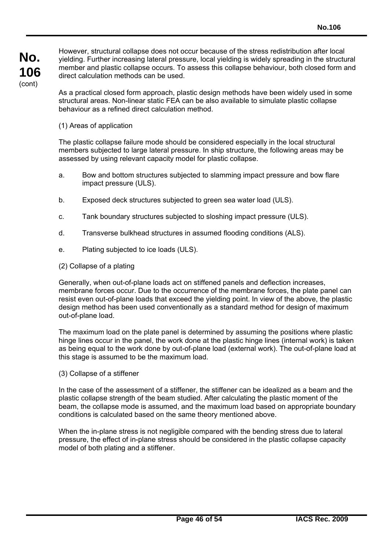However, structural collapse does not occur because of the stress redistribution after local yielding. Further increasing lateral pressure, local yielding is widely spreading in the structural member and plastic collapse occurs. To assess this collapse behaviour, both closed form and direct calculation methods can be used.

As a practical closed form approach, plastic design methods have been widely used in some structural areas. Non-linear static FEA can be also available to simulate plastic collapse behaviour as a refined direct calculation method.

(1) Areas of application

The plastic collapse failure mode should be considered especially in the local structural members subjected to large lateral pressure. In ship structure, the following areas may be assessed by using relevant capacity model for plastic collapse.

- a. Bow and bottom structures subjected to slamming impact pressure and bow flare impact pressure (ULS).
- b. Exposed deck structures subjected to green sea water load (ULS).
- c. Tank boundary structures subjected to sloshing impact pressure (ULS).
- d. Transverse bulkhead structures in assumed flooding conditions (ALS).
- e. Plating subjected to ice loads (ULS).
- (2) Collapse of a plating

Generally, when out-of-plane loads act on stiffened panels and deflection increases, membrane forces occur. Due to the occurrence of the membrane forces, the plate panel can resist even out-of-plane loads that exceed the yielding point. In view of the above, the plastic design method has been used conventionally as a standard method for design of maximum out-of-plane load.

The maximum load on the plate panel is determined by assuming the positions where plastic hinge lines occur in the panel, the work done at the plastic hinge lines (internal work) is taken as being equal to the work done by out-of-plane load (external work). The out-of-plane load at this stage is assumed to be the maximum load.

(3) Collapse of a stiffener

 $\overline{a}$ 

In the case of the assessment of a stiffener, the stiffener can be idealized as a beam and the plastic collapse strength of the beam studied. After calculating the plastic moment of the beam, the collapse mode is assumed, and the maximum load based on appropriate boundary conditions is calculated based on the same theory mentioned above.

When the in-plane stress is not negligible compared with the bending stress due to lateral pressure, the effect of in-plane stress should be considered in the plastic collapse capacity model of both plating and a stiffener.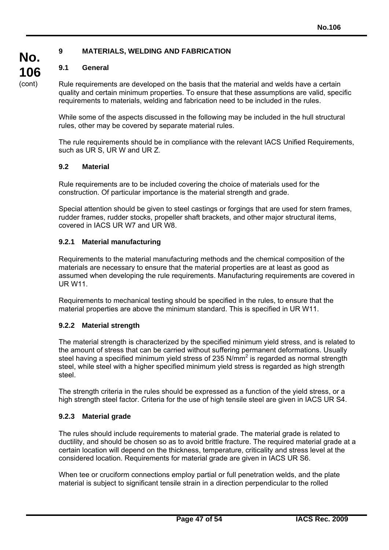# **9 MATERIALS, WELDING AND FABRICATION**

# **9.1 General**

Rule requirements are developed on the basis that the material and welds have a certain quality and certain minimum properties. To ensure that these assumptions are valid, specific requirements to materials, welding and fabrication need to be included in the rules.

While some of the aspects discussed in the following may be included in the hull structural rules, other may be covered by separate material rules.

The rule requirements should be in compliance with the relevant IACS Unified Requirements, such as UR S, UR W and UR Z.

#### **9.2 Material**

Rule requirements are to be included covering the choice of materials used for the construction. Of particular importance is the material strength and grade.

Special attention should be given to steel castings or forgings that are used for stern frames, rudder frames, rudder stocks, propeller shaft brackets, and other major structural items, covered in IACS UR W7 and UR W8.

# **9.2.1 Material manufacturing**

Requirements to the material manufacturing methods and the chemical composition of the materials are necessary to ensure that the material properties are at least as good as assumed when developing the rule requirements. Manufacturing requirements are covered in UR W11.

Requirements to mechanical testing should be specified in the rules, to ensure that the material properties are above the minimum standard. This is specified in UR W11.

# **9.2.2 Material strength**

The material strength is characterized by the specified minimum yield stress, and is related to the amount of stress that can be carried without suffering permanent deformations. Usually steel having a specified minimum yield stress of 235 N/mm<sup>2</sup> is regarded as normal strength steel, while steel with a higher specified minimum yield stress is regarded as high strength steel.

The strength criteria in the rules should be expressed as a function of the yield stress, or a high strength steel factor. Criteria for the use of high tensile steel are given in IACS UR S4.

# **9.2.3 Material grade**

 $\overline{a}$ 

The rules should include requirements to material grade. The material grade is related to ductility, and should be chosen so as to avoid brittle fracture. The required material grade at a certain location will depend on the thickness, temperature, criticality and stress level at the considered location. Requirements for material grade are given in IACS UR S6.

When tee or cruciform connections employ partial or full penetration welds, and the plate material is subject to significant tensile strain in a direction perpendicular to the rolled

**No. 106**  (cont)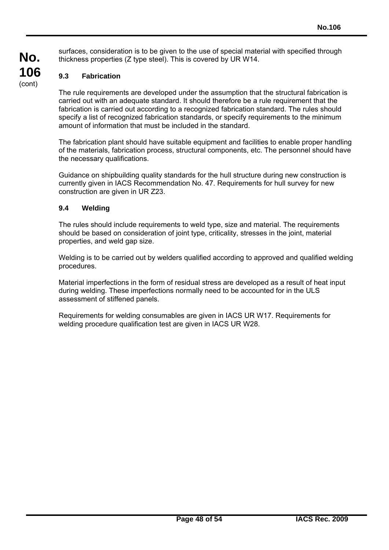surfaces, consideration is to be given to the use of special material with specified through thickness properties (Z type steel). This is covered by UR W14.

# **9.3 Fabrication**

**No.** 

**106**  (cont)

> The rule requirements are developed under the assumption that the structural fabrication is carried out with an adequate standard. It should therefore be a rule requirement that the fabrication is carried out according to a recognized fabrication standard. The rules should specify a list of recognized fabrication standards, or specify requirements to the minimum amount of information that must be included in the standard.

The fabrication plant should have suitable equipment and facilities to enable proper handling of the materials, fabrication process, structural components, etc. The personnel should have the necessary qualifications.

Guidance on shipbuilding quality standards for the hull structure during new construction is currently given in IACS Recommendation No. 47. Requirements for hull survey for new construction are given in UR Z23.

### **9.4 Welding**

 $\overline{a}$ 

The rules should include requirements to weld type, size and material. The requirements should be based on consideration of joint type, criticality, stresses in the joint, material properties, and weld gap size.

Welding is to be carried out by welders qualified according to approved and qualified welding procedures.

Material imperfections in the form of residual stress are developed as a result of heat input during welding. These imperfections normally need to be accounted for in the ULS assessment of stiffened panels.

Requirements for welding consumables are given in IACS UR W17. Requirements for welding procedure qualification test are given in IACS UR W28.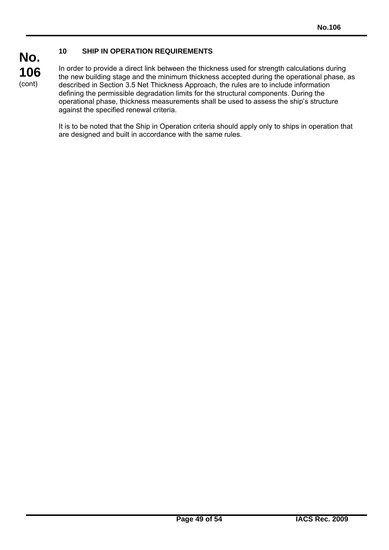# **10 SHIP IN OPERATION REQUIREMENTS**

**106**  (cont)

**No.** 

 $\overline{a}$ 

In order to provide a direct link between the thickness used for strength calculations during the new building stage and the minimum thickness accepted during the operational phase, as described in Section 3.5 Net Thickness Approach, the rules are to include information defining the permissible degradation limits for the structural components. During the operational phase, thickness measurements shall be used to assess the ship's structure against the specified renewal criteria.

It is to be noted that the Ship in Operation criteria should apply only to ships in operation that are designed and built in accordance with the same rules.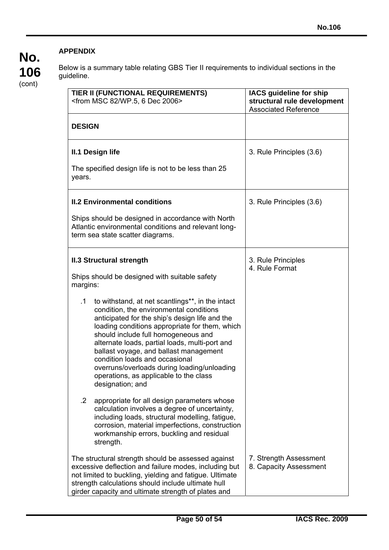# **No. 106**  (cont)

# **APPENDIX**

 $\overline{a}$ 

Below is a summary table relating GBS Tier II requirements to individual sections in the guideline.

| TIER II (FUNCTIONAL REQUIREMENTS)<br><from 2006="" 6="" 82="" dec="" msc="" wp.5,=""></from>                                                                                                                                                                                                                                                                                                                                                                                            | IACS guideline for ship<br>structural rule development<br><b>Associated Reference</b> |
|-----------------------------------------------------------------------------------------------------------------------------------------------------------------------------------------------------------------------------------------------------------------------------------------------------------------------------------------------------------------------------------------------------------------------------------------------------------------------------------------|---------------------------------------------------------------------------------------|
| <b>DESIGN</b>                                                                                                                                                                                                                                                                                                                                                                                                                                                                           |                                                                                       |
| <b>II.1 Design life</b>                                                                                                                                                                                                                                                                                                                                                                                                                                                                 | 3. Rule Principles (3.6)                                                              |
| The specified design life is not to be less than 25<br>years.                                                                                                                                                                                                                                                                                                                                                                                                                           |                                                                                       |
| <b>II.2 Environmental conditions</b>                                                                                                                                                                                                                                                                                                                                                                                                                                                    | 3. Rule Principles (3.6)                                                              |
| Ships should be designed in accordance with North<br>Atlantic environmental conditions and relevant long-<br>term sea state scatter diagrams.                                                                                                                                                                                                                                                                                                                                           |                                                                                       |
| <b>II.3 Structural strength</b>                                                                                                                                                                                                                                                                                                                                                                                                                                                         | 3. Rule Principles<br>4. Rule Format                                                  |
| Ships should be designed with suitable safety<br>margins:                                                                                                                                                                                                                                                                                                                                                                                                                               |                                                                                       |
| to withstand, at net scantlings**, in the intact<br>.1<br>condition, the environmental conditions<br>anticipated for the ship's design life and the<br>loading conditions appropriate for them, which<br>should include full homogeneous and<br>alternate loads, partial loads, multi-port and<br>ballast voyage, and ballast management<br>condition loads and occasional<br>overruns/overloads during loading/unloading<br>operations, as applicable to the class<br>designation; and |                                                                                       |
| $\cdot$<br>appropriate for all design parameters whose<br>calculation involves a degree of uncertainty,<br>including loads, structural modelling, fatigue,<br>corrosion, material imperfections, construction<br>workmanship errors, buckling and residual<br>strength.                                                                                                                                                                                                                 |                                                                                       |
| The structural strength should be assessed against<br>excessive deflection and failure modes, including but<br>not limited to buckling, yielding and fatigue. Ultimate<br>strength calculations should include ultimate hull<br>girder capacity and ultimate strength of plates and                                                                                                                                                                                                     | 7. Strength Assessment<br>8. Capacity Assessment                                      |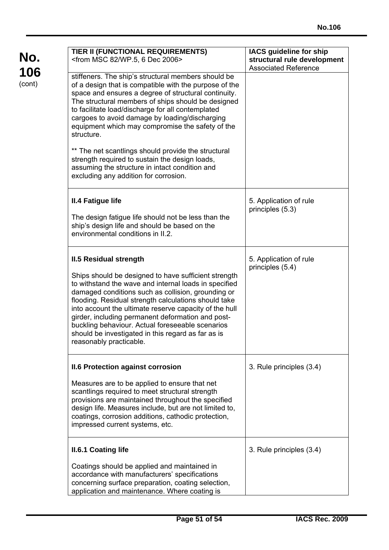| TIER II (FUNCTIONAL REQUIREMENTS)<br><from 2006="" 6="" 82="" dec="" msc="" wp.5,=""></from>                                                                                                                                                                                                                                                                                                                                                                                                                     | IACS guideline for ship<br>structural rule development<br><b>Associated Reference</b> |
|------------------------------------------------------------------------------------------------------------------------------------------------------------------------------------------------------------------------------------------------------------------------------------------------------------------------------------------------------------------------------------------------------------------------------------------------------------------------------------------------------------------|---------------------------------------------------------------------------------------|
| stiffeners. The ship's structural members should be<br>of a design that is compatible with the purpose of the<br>space and ensures a degree of structural continuity.<br>The structural members of ships should be designed<br>to facilitate load/discharge for all contemplated<br>cargoes to avoid damage by loading/discharging<br>equipment which may compromise the safety of the<br>structure.                                                                                                             |                                                                                       |
| ** The net scantlings should provide the structural<br>strength required to sustain the design loads,<br>assuming the structure in intact condition and<br>excluding any addition for corrosion.                                                                                                                                                                                                                                                                                                                 |                                                                                       |
| <b>II.4 Fatigue life</b><br>The design fatigue life should not be less than the                                                                                                                                                                                                                                                                                                                                                                                                                                  | 5. Application of rule<br>principles (5.3)                                            |
| ship's design life and should be based on the<br>environmental conditions in II.2.                                                                                                                                                                                                                                                                                                                                                                                                                               |                                                                                       |
| <b>II.5 Residual strength</b><br>Ships should be designed to have sufficient strength<br>to withstand the wave and internal loads in specified<br>damaged conditions such as collision, grounding or<br>flooding. Residual strength calculations should take<br>into account the ultimate reserve capacity of the hull<br>girder, including permanent deformation and post-<br>buckling behaviour. Actual foreseeable scenarios<br>should be investigated in this regard as far as is<br>reasonably practicable. | 5. Application of rule<br>principles (5.4)                                            |
| <b>II.6 Protection against corrosion</b><br>Measures are to be applied to ensure that net<br>scantlings required to meet structural strength<br>provisions are maintained throughout the specified<br>design life. Measures include, but are not limited to,<br>coatings, corrosion additions, cathodic protection,<br>impressed current systems, etc.                                                                                                                                                           | 3. Rule principles (3.4)                                                              |
| <b>II.6.1 Coating life</b>                                                                                                                                                                                                                                                                                                                                                                                                                                                                                       | 3. Rule principles (3.4)                                                              |
| Coatings should be applied and maintained in<br>accordance with manufacturers' specifications<br>concerning surface preparation, coating selection,<br>application and maintenance. Where coating is                                                                                                                                                                                                                                                                                                             |                                                                                       |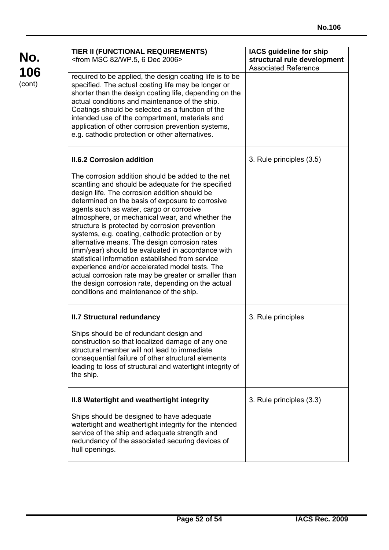| TIER II (FUNCTIONAL REQUIREMENTS)<br><from 2006="" 6="" 82="" dec="" msc="" wp.5,=""></from>                                                                                                                                                                                                                                                                                                                                                                                                                                                                                                                                                                                                                                                                                          | <b>IACS guideline for ship</b><br>structural rule development<br><b>Associated Reference</b> |
|---------------------------------------------------------------------------------------------------------------------------------------------------------------------------------------------------------------------------------------------------------------------------------------------------------------------------------------------------------------------------------------------------------------------------------------------------------------------------------------------------------------------------------------------------------------------------------------------------------------------------------------------------------------------------------------------------------------------------------------------------------------------------------------|----------------------------------------------------------------------------------------------|
| required to be applied, the design coating life is to be<br>specified. The actual coating life may be longer or<br>shorter than the design coating life, depending on the<br>actual conditions and maintenance of the ship.<br>Coatings should be selected as a function of the<br>intended use of the compartment, materials and<br>application of other corrosion prevention systems,<br>e.g. cathodic protection or other alternatives.                                                                                                                                                                                                                                                                                                                                            |                                                                                              |
| <b>II.6.2 Corrosion addition</b>                                                                                                                                                                                                                                                                                                                                                                                                                                                                                                                                                                                                                                                                                                                                                      | 3. Rule principles (3.5)                                                                     |
| The corrosion addition should be added to the net<br>scantling and should be adequate for the specified<br>design life. The corrosion addition should be<br>determined on the basis of exposure to corrosive<br>agents such as water, cargo or corrosive<br>atmosphere, or mechanical wear, and whether the<br>structure is protected by corrosion prevention<br>systems, e.g. coating, cathodic protection or by<br>alternative means. The design corrosion rates<br>(mm/year) should be evaluated in accordance with<br>statistical information established from service<br>experience and/or accelerated model tests. The<br>actual corrosion rate may be greater or smaller than<br>the design corrosion rate, depending on the actual<br>conditions and maintenance of the ship. |                                                                                              |
| <b>II.7 Structural redundancy</b>                                                                                                                                                                                                                                                                                                                                                                                                                                                                                                                                                                                                                                                                                                                                                     | 3. Rule principles                                                                           |
| Ships should be of redundant design and<br>construction so that localized damage of any one<br>structural member will not lead to immediate<br>consequential failure of other structural elements<br>leading to loss of structural and watertight integrity of<br>the ship.                                                                                                                                                                                                                                                                                                                                                                                                                                                                                                           |                                                                                              |
| II.8 Watertight and weathertight integrity                                                                                                                                                                                                                                                                                                                                                                                                                                                                                                                                                                                                                                                                                                                                            | 3. Rule principles (3.3)                                                                     |
| Ships should be designed to have adequate<br>watertight and weathertight integrity for the intended<br>service of the ship and adequate strength and<br>redundancy of the associated securing devices of<br>hull openings.                                                                                                                                                                                                                                                                                                                                                                                                                                                                                                                                                            |                                                                                              |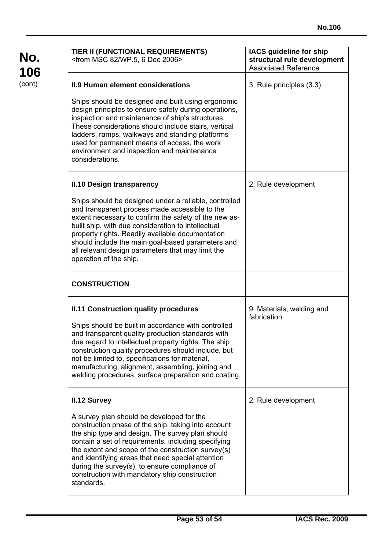| TIER II (FUNCTIONAL REQUIREMENTS)<br><from 2006="" 6="" 82="" dec="" msc="" wp.5,=""></from>                                                                                                                                                                                                                                                                                                                                                                  | <b>IACS guideline for ship</b><br>structural rule development<br><b>Associated Reference</b> |
|---------------------------------------------------------------------------------------------------------------------------------------------------------------------------------------------------------------------------------------------------------------------------------------------------------------------------------------------------------------------------------------------------------------------------------------------------------------|----------------------------------------------------------------------------------------------|
| <b>II.9 Human element considerations</b><br>Ships should be designed and built using ergonomic<br>design principles to ensure safety during operations,<br>inspection and maintenance of ship's structures.<br>These considerations should include stairs, vertical<br>ladders, ramps, walkways and standing platforms<br>used for permanent means of access, the work<br>environment and inspection and maintenance<br>considerations.                       | 3. Rule principles (3.3)                                                                     |
| <b>II.10 Design transparency</b><br>Ships should be designed under a reliable, controlled<br>and transparent process made accessible to the<br>extent necessary to confirm the safety of the new as-<br>built ship, with due consideration to intellectual<br>property rights. Readily available documentation<br>should include the main goal-based parameters and<br>all relevant design parameters that may limit the<br>operation of the ship.            | 2. Rule development                                                                          |
| <b>CONSTRUCTION</b>                                                                                                                                                                                                                                                                                                                                                                                                                                           |                                                                                              |
| <b>II.11 Construction quality procedures</b><br>Ships should be built in accordance with controlled<br>and transparent quality production standards with<br>due regard to intellectual property rights. The ship<br>construction quality procedures should include, but<br>not be limited to, specifications for material,<br>manufacturing, alignment, assembling, joining and<br>welding procedures, surface preparation and coating.                       | 9. Materials, welding and<br>fabrication                                                     |
| <b>II.12 Survey</b><br>A survey plan should be developed for the<br>construction phase of the ship, taking into account<br>the ship type and design. The survey plan should<br>contain a set of requirements, including specifying<br>the extent and scope of the construction survey(s)<br>and identifying areas that need special attention<br>during the survey(s), to ensure compliance of<br>construction with mandatory ship construction<br>standards. | 2. Rule development                                                                          |